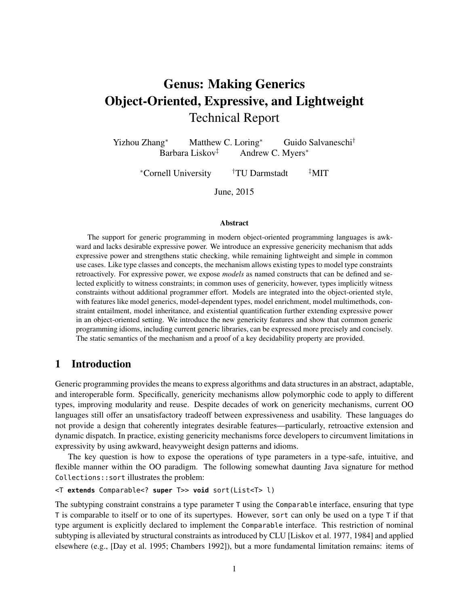# Genus: Making Generics Object-Oriented, Expressive, and Lightweight Technical Report

Yizhou Zhang<sup>∗</sup> Matthew C. Loring<sup>∗</sup> Guido Salvaneschi† Barbara Liskov<sup>‡</sup> Andrew C. Myers<sup>∗</sup>

<sup>∗</sup>Cornell University †TU Darmstadt ‡MIT

June, 2015

#### Abstract

The support for generic programming in modern object-oriented programming languages is awkward and lacks desirable expressive power. We introduce an expressive genericity mechanism that adds expressive power and strengthens static checking, while remaining lightweight and simple in common use cases. Like type classes and concepts, the mechanism allows existing types to model type constraints retroactively. For expressive power, we expose *models* as named constructs that can be defined and selected explicitly to witness constraints; in common uses of genericity, however, types implicitly witness constraints without additional programmer effort. Models are integrated into the object-oriented style, with features like model generics, model-dependent types, model enrichment, model multimethods, constraint entailment, model inheritance, and existential quantification further extending expressive power in an object-oriented setting. We introduce the new genericity features and show that common generic programming idioms, including current generic libraries, can be expressed more precisely and concisely. The static semantics of the mechanism and a proof of a key decidability property are provided.

### 1 Introduction

Generic programming provides the means to express algorithms and data structures in an abstract, adaptable, and interoperable form. Specifically, genericity mechanisms allow polymorphic code to apply to different types, improving modularity and reuse. Despite decades of work on genericity mechanisms, current OO languages still offer an unsatisfactory tradeoff between expressiveness and usability. These languages do not provide a design that coherently integrates desirable features—particularly, retroactive extension and dynamic dispatch. In practice, existing genericity mechanisms force developers to circumvent limitations in expressivity by using awkward, heavyweight design patterns and idioms.

The key question is how to expose the operations of type parameters in a type-safe, intuitive, and flexible manner within the OO paradigm. The following somewhat daunting Java signature for method Collections::sort illustrates the problem:

```
<T extends Comparable<? super T>> void sort(List<T> l)
```
The subtyping constraint constrains a type parameter  $\tau$  using the Comparable interface, ensuring that type T is comparable to itself or to one of its supertypes. However, sort can only be used on a type T if that type argument is explicitly declared to implement the Comparable interface. This restriction of nominal subtyping is alleviated by structural constraints as introduced by CLU [\[Liskov et al.](#page-34-0) [1977,](#page-34-0) [1984\]](#page-35-0) and applied elsewhere (e.g., [\[Day et al.](#page-34-1) [1995;](#page-34-1) [Chambers](#page-34-2) [1992\]](#page-34-2)), but a more fundamental limitation remains: items of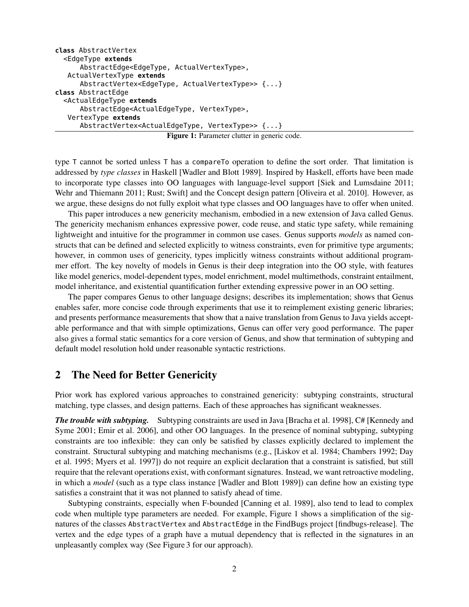```
class AbstractVertex
  <EdgeType extends
      AbstractEdge<EdgeType, ActualVertexType>,
   ActualVertexType extends
      AbstractVertex<EdgeType, ActualVertexType>> {...}
class AbstractEdge
  <ActualEdgeType extends
      AbstractEdge<ActualEdgeType, VertexType>,
   VertexType extends
      AbstractVertex<ActualEdgeType, VertexType>> {...}
```
Figure 1: Parameter clutter in generic code.

type T cannot be sorted unless T has a compareTo operation to define the sort order. That limitation is addressed by *type classes* in Haskell [\[Wadler and Blott](#page-35-1) [1989\]](#page-35-1). Inspired by Haskell, efforts have been made to incorporate type classes into OO languages with language-level support [\[Siek and Lumsdaine](#page-35-2) [2011;](#page-35-2) [Wehr and Thiemann](#page-36-0) [2011;](#page-36-0) [Rust;](#page-35-3) [Swift\]](#page-35-4) and the Concept design pattern [\[Oliveira et al.](#page-35-5) [2010\]](#page-35-5). However, as we argue, these designs do not fully exploit what type classes and OO languages have to offer when united.

This paper introduces a new genericity mechanism, embodied in a new extension of Java called Genus. The genericity mechanism enhances expressive power, code reuse, and static type safety, while remaining lightweight and intuitive for the programmer in common use cases. Genus supports *models* as named constructs that can be defined and selected explicitly to witness constraints, even for primitive type arguments; however, in common uses of genericity, types implicitly witness constraints without additional programmer effort. The key novelty of models in Genus is their deep integration into the OO style, with features like model generics, model-dependent types, model enrichment, model multimethods, constraint entailment, model inheritance, and existential quantification further extending expressive power in an OO setting.

The paper compares Genus to other language designs; describes its implementation; shows that Genus enables safer, more concise code through experiments that use it to reimplement existing generic libraries; and presents performance measurements that show that a naive translation from Genus to Java yields acceptable performance and that with simple optimizations, Genus can offer very good performance. The paper also gives a formal static semantics for a core version of Genus, and show that termination of subtyping and default model resolution hold under reasonable syntactic restrictions.

### 2 The Need for Better Genericity

Prior work has explored various approaches to constrained genericity: subtyping constraints, structural matching, type classes, and design patterns. Each of these approaches has significant weaknesses.

*The trouble with subtyping.* Subtyping constraints are used in Java [\[Bracha et al.](#page-33-0) [1998\]](#page-33-0), C# [\[Kennedy and](#page-34-3) [Syme](#page-34-3) [2001;](#page-34-3) [Emir et al.](#page-34-4) [2006\]](#page-34-4), and other OO languages. In the presence of nominal subtyping, subtyping constraints are too inflexible: they can only be satisfied by classes explicitly declared to implement the constraint. Structural subtyping and matching mechanisms (e.g., [\[Liskov et al.](#page-35-0) [1984;](#page-35-0) [Chambers](#page-34-2) [1992;](#page-34-2) [Day](#page-34-1) [et al.](#page-34-1) [1995;](#page-34-1) [Myers et al.](#page-35-6) [1997\]](#page-35-6)) do not require an explicit declaration that a constraint is satisfied, but still require that the relevant operations exist, with conformant signatures. Instead, we want retroactive modeling, in which a *model* (such as a type class instance [\[Wadler and Blott](#page-35-1) [1989\]](#page-35-1)) can define how an existing type satisfies a constraint that it was not planned to satisfy ahead of time.

Subtyping constraints, especially when F-bounded [\[Canning et al.](#page-34-5) [1989\]](#page-34-5), also tend to lead to complex code when multiple type parameters are needed. For example, Figure [1](#page-1-0) shows a simplification of the signatures of the classes AbstractVertex and AbstractEdge in the FindBugs project [\[findbugs-release\]](#page-34-6). The vertex and the edge types of a graph have a mutual dependency that is reflected in the signatures in an unpleasantly complex way (See Figure 3 for our approach).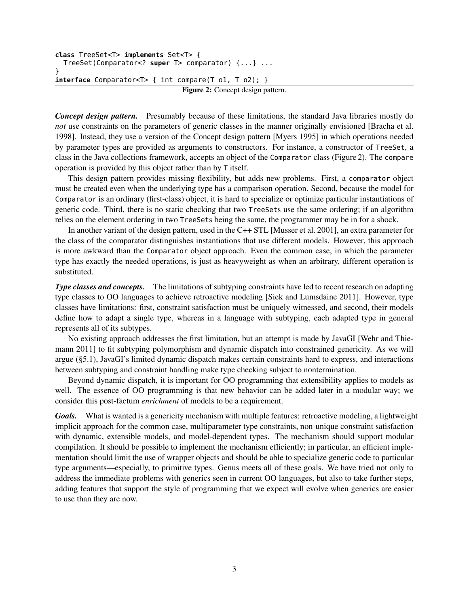```
class TreeSet<T> implements Set<T> {
  TreeSet(Comparator<? super T> comparator) {...} ...
}
interface Comparator<T> { int compare(T o1, T o2); }
```
Figure 2: Concept design pattern.

**Concept design pattern.** Presumably because of these limitations, the standard Java libraries mostly do *not* use constraints on the parameters of generic classes in the manner originally envisioned [\[Bracha et al.](#page-33-0) [1998\]](#page-33-0). Instead, they use a version of the Concept design pattern [\[Myers](#page-35-7) [1995\]](#page-35-7) in which operations needed by parameter types are provided as arguments to constructors. For instance, a constructor of TreeSet, a class in the Java collections framework, accepts an object of the Comparator class (Figure 2). The compare operation is provided by this object rather than by T itself.

This design pattern provides missing flexibility, but adds new problems. First, a comparator object must be created even when the underlying type has a comparison operation. Second, because the model for Comparator is an ordinary (first-class) object, it is hard to specialize or optimize particular instantiations of generic code. Third, there is no static checking that two TreeSets use the same ordering; if an algorithm relies on the element ordering in two TreeSets being the same, the programmer may be in for a shock.

In another variant of the design pattern, used in the C++ STL [\[Musser et al.](#page-35-8) [2001\]](#page-35-8), an extra parameter for the class of the comparator distinguishes instantiations that use different models. However, this approach is more awkward than the Comparator object approach. Even the common case, in which the parameter type has exactly the needed operations, is just as heavyweight as when an arbitrary, different operation is substituted.

*Type classes and concepts.* The limitations of subtyping constraints have led to recent research on adapting type classes to OO languages to achieve retroactive modeling [\[Siek and Lumsdaine](#page-35-2) [2011\]](#page-35-2). However, type classes have limitations: first, constraint satisfaction must be uniquely witnessed, and second, their models define how to adapt a single type, whereas in a language with subtyping, each adapted type in general represents all of its subtypes.

No existing approach addresses the first limitation, but an attempt is made by JavaGI [\[Wehr and Thie](#page-36-0)[mann](#page-36-0) [2011\]](#page-36-0) to fit subtyping polymorphism and dynamic dispatch into constrained genericity. As we will argue (§5.1), JavaGI's limited dynamic dispatch makes certain constraints hard to express, and interactions between subtyping and constraint handling make type checking subject to nontermination.

Beyond dynamic dispatch, it is important for OO programming that extensibility applies to models as well. The essence of OO programming is that new behavior can be added later in a modular way; we consider this post-factum *enrichment* of models to be a requirement.

*Goals.* What is wanted is a genericity mechanism with multiple features: retroactive modeling, a lightweight implicit approach for the common case, multiparameter type constraints, non-unique constraint satisfaction with dynamic, extensible models, and model-dependent types. The mechanism should support modular compilation. It should be possible to implement the mechanism efficiently; in particular, an efficient implementation should limit the use of wrapper objects and should be able to specialize generic code to particular type arguments—especially, to primitive types. Genus meets all of these goals. We have tried not only to address the immediate problems with generics seen in current OO languages, but also to take further steps, adding features that support the style of programming that we expect will evolve when generics are easier to use than they are now.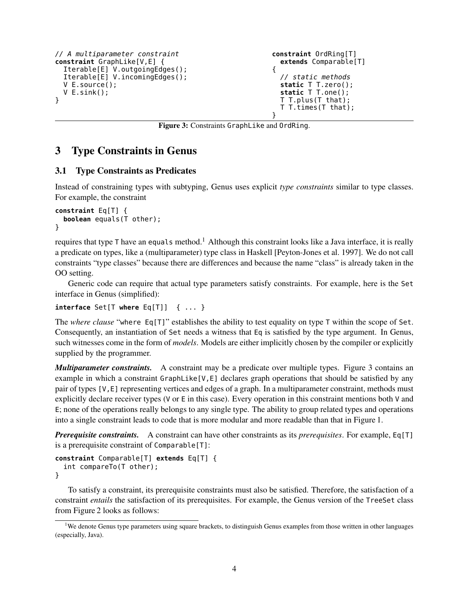```
// A multiparameter constraint
constraint GraphLike[V,E] {
  Iterable[E] V.outgoingEdges();
  Iterable[E] V.incomingEdges();
  V E.source();
  V E.sink();
}
                                                      {
```

```
constraint OrdRing[T]
  extends Comparable[T]
  // static methods
  static T T.zero();
  static T T.one();
  T T.plus(T that);
  T T.times(T that);
}
```
Figure 3: Constraints GraphLike and OrdRing.

### 3 Type Constraints in Genus

### 3.1 Type Constraints as Predicates

Instead of constraining types with subtyping, Genus uses explicit *type constraints* similar to type classes. For example, the constraint

```
constraint Eq[T] {
  boolean equals(T other);
}
```
requires that type T have an equals method.<sup>[1](#page-3-0)</sup> Although this constraint looks like a Java interface, it is really a predicate on types, like a (multiparameter) type class in Haskell [\[Peyton-Jones et al.](#page-35-9) [1997\]](#page-35-9). We do not call constraints "type classes" because there are differences and because the name "class" is already taken in the OO setting.

Generic code can require that actual type parameters satisfy constraints. For example, here is the Set interface in Genus (simplified):

```
interface Set[T where Eq[T]] { ... }
```
The *where clause* "where Eq[T]" establishes the ability to test equality on type T within the scope of Set. Consequently, an instantiation of Set needs a witness that Eq is satisfied by the type argument. In Genus, such witnesses come in the form of *models*. Models are either implicitly chosen by the compiler or explicitly supplied by the programmer.

*Multiparameter constraints.* A constraint may be a predicate over multiple types. Figure [3](#page-3-1) contains an example in which a constraint GraphLike[V, E] declares graph operations that should be satisfied by any pair of types [V,E] representing vertices and edges of a graph. In a multiparameter constraint, methods must explicitly declare receiver types (V or E in this case). Every operation in this constraint mentions both V and E; none of the operations really belongs to any single type. The ability to group related types and operations into a single constraint leads to code that is more modular and more readable than that in Figure 1.

*Prerequisite constraints.* A constraint can have other constraints as its *prerequisites*. For example, Eq[T] is a prerequisite constraint of Comparable[T]:

```
constraint Comparable[T] extends Eq[T] {
  int compareTo(T other);
```
}

To satisfy a constraint, its prerequisite constraints must also be satisfied. Therefore, the satisfaction of a constraint *entails* the satisfaction of its prerequisites. For example, the Genus version of the TreeSet class from Figure 2 looks as follows:

<span id="page-3-0"></span> $1$ <sup>W</sup>e denote Genus type parameters using square brackets, to distinguish Genus examples from those written in other languages (especially, Java).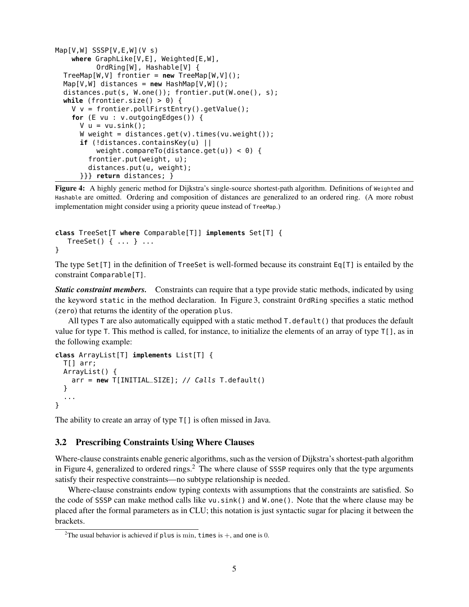```
Map[V,W] SSSP[V,E,W](V s)where GraphLike[V,E], Weighted[E,W],
          OrdRing[W], Hashable[V] {
 TreeMap[W,V] frontier = new TreeMap[W,V]();
 Map[V,W] distances = new HashMap[V,W]();
 distances.put(s, W.one()); frontier.put(W.one(), s);
 while (frontier.size() > 0) {
    V v = frontier.pollFirstEntry().getValue();
    for (E vu : v.outgoingEdges()) {
      V u = vu.sink();
      W weight = distances.get(v).times(vu.weight());
      if (!distances.containsKey(u) ||
          weight.compareTo(distance.get(u)) < 0) {
        frontier.put(weight, u);
        distances.put(u, weight);
      }}} return distances; }
```
Figure 4: A highly generic method for Dijkstra's single-source shortest-path algorithm. Definitions of Weighted and Hashable are omitted. Ordering and composition of distances are generalized to an ordered ring. (A more robust implementation might consider using a priority queue instead of TreeMap.)

```
class TreeSet[T where Comparable[T]] implements Set[T] {
   TreeSet() { ... } ...
}
```
The type Set[T] in the definition of TreeSet is well-formed because its constraint Eq[T] is entailed by the constraint Comparable[T].

*Static constraint members.* Constraints can require that a type provide static methods, indicated by using the keyword static in the method declaration. In Figure 3, constraint OrdRing specifies a static method (zero) that returns the identity of the operation plus.

All types T are also automatically equipped with a static method T.default() that produces the default value for type T. This method is called, for instance, to initialize the elements of an array of type T[], as in the following example:

```
class ArrayList[T] implements List[T] {
  T[] arr;
  ArrayList() {
    arr = new T[INITIAL_SIZE]; // Calls T.default()
  }
  ...
}
```
The ability to create an array of type T[] is often missed in Java.

### 3.2 Prescribing Constraints Using Where Clauses

Where-clause constraints enable generic algorithms, such as the version of Dijkstra's shortest-path algorithm in Figure 4, generalized to ordered rings.<sup>[2](#page-4-0)</sup> The where clause of SSSP requires only that the type arguments satisfy their respective constraints—no subtype relationship is needed.

Where-clause constraints endow typing contexts with assumptions that the constraints are satisfied. So the code of SSSP can make method calls like vu.sink() and W.one(). Note that the where clause may be placed after the formal parameters as in CLU; this notation is just syntactic sugar for placing it between the brackets.

<span id="page-4-0"></span><sup>&</sup>lt;sup>2</sup>The usual behavior is achieved if plus is min, times is  $+$ , and one is 0.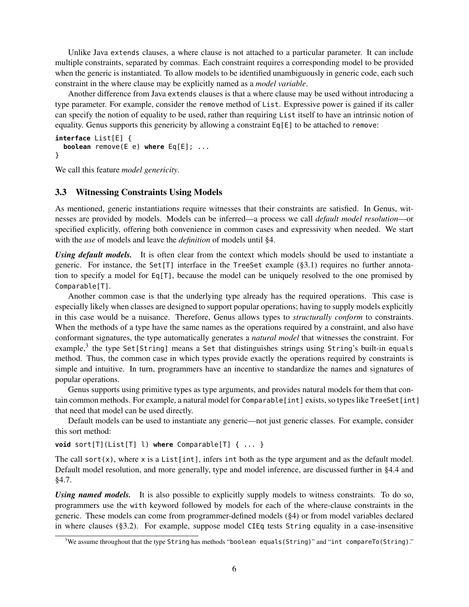Unlike Java extends clauses, a where clause is not attached to a particular parameter. It can include multiple constraints, separated by commas. Each constraint requires a corresponding model to be provided when the generic is instantiated. To allow models to be identified unambiguously in generic code, each such constraint in the where clause may be explicitly named as a *model variable*.

Another difference from Java extends clauses is that a where clause may be used without introducing a type parameter. For example, consider the remove method of List. Expressive power is gained if its caller can specify the notion of equality to be used, rather than requiring List itself to have an intrinsic notion of equality. Genus supports this genericity by allowing a constraint Eq[E] to be attached to remove:

```
interface List[E] {
  boolean remove(E e) where Eq[E]; ...
}
```
We call this feature *model genericity*.

### <span id="page-5-1"></span>3.3 Witnessing Constraints Using Models

As mentioned, generic instantiations require witnesses that their constraints are satisfied. In Genus, witnesses are provided by models. Models can be inferred—a process we call *default model resolution*—or specified explicitly, offering both convenience in common cases and expressivity when needed. We start with the *use* of models and leave the *definition* of models until §4.

*Using default models.* It is often clear from the context which models should be used to instantiate a generic. For instance, the Set[T] interface in the TreeSet example (§3.1) requires no further annotation to specify a model for Eq[T], because the model can be uniquely resolved to the one promised by Comparable[T].

Another common case is that the underlying type already has the required operations. This case is especially likely when classes are designed to support popular operations; having to supply models explicitly in this case would be a nuisance. Therefore, Genus allows types to *structurally conform* to constraints. When the methods of a type have the same names as the operations required by a constraint, and also have conformant signatures, the type automatically generates a *natural model* that witnesses the constraint. For example, $^3$  $^3$  the type Set[String] means a Set that distinguishes strings using String's built-in equals method. Thus, the common case in which types provide exactly the operations required by constraints is simple and intuitive. In turn, programmers have an incentive to standardize the names and signatures of popular operations.

Genus supports using primitive types as type arguments, and provides natural models for them that contain common methods. For example, a natural model for Comparable[int] exists, so types like TreeSet[int] that need that model can be used directly.

Default models can be used to instantiate any generic—not just generic classes. For example, consider this sort method:

```
void sort[T](List[T] l) where Comparable[T] { ... }
```
The call sort(x), where x is a List[int], infers int both as the type argument and as the default model. Default model resolution, and more generally, type and model inference, are discussed further in §4.4 and §4.7.

*Using named models.* It is also possible to explicitly supply models to witness constraints. To do so, programmers use the with keyword followed by models for each of the where-clause constraints in the generic. These models can come from programmer-defined models (§4) or from model variables declared in where clauses (§3.2). For example, suppose model CIEq tests String equality in a case-insensitive

<span id="page-5-0"></span><sup>&</sup>lt;sup>3</sup>We assume throughout that the type String has methods "boolean equals(String)" and "int compareTo(String)."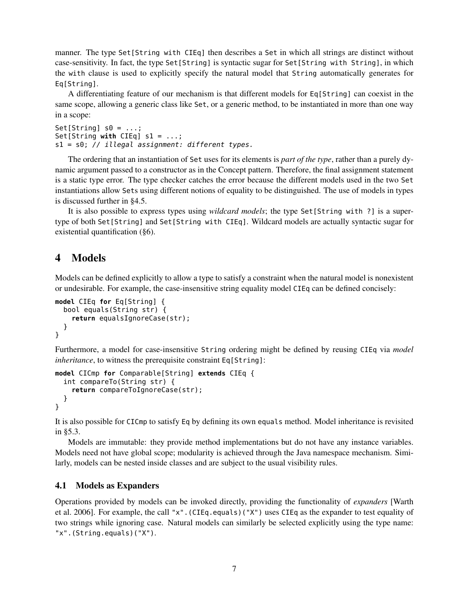manner. The type Set[String with CIEq] then describes a Set in which all strings are distinct without case-sensitivity. In fact, the type Set[String] is syntactic sugar for Set[String with String], in which the with clause is used to explicitly specify the natural model that String automatically generates for Eq[String].

A differentiating feature of our mechanism is that different models for Eq[String] can coexist in the same scope, allowing a generic class like Set, or a generic method, to be instantiated in more than one way in a scope:

```
Set[String] S0 = ...;Set[String with CIEq] s1 = ...;
s1 = s0; // illegal assignment: different types.
```
The ordering that an instantiation of Set uses for its elements is *part of the type*, rather than a purely dynamic argument passed to a constructor as in the Concept pattern. Therefore, the final assignment statement is a static type error. The type checker catches the error because the different models used in the two Set instantiations allow Sets using different notions of equality to be distinguished. The use of models in types is discussed further in §4.5.

It is also possible to express types using *wildcard models*; the type Set[String with ?] is a supertype of both Set[String] and Set[String with CIEq]. Wildcard models are actually syntactic sugar for existential quantification (§6).

# 4 Models

Models can be defined explicitly to allow a type to satisfy a constraint when the natural model is nonexistent or undesirable. For example, the case-insensitive string equality model CIEq can be defined concisely:

```
model CIEq for Eq[String] {
  bool equals(String str) {
    return equalsIgnoreCase(str);
  }
}
```
Furthermore, a model for case-insensitive String ordering might be defined by reusing CIEq via *model inheritance*, to witness the prerequisite constraint Eq[String]:

```
model CICmp for Comparable[String] extends CIEq {
  int compareTo(String str) {
    return compareToIgnoreCase(str);
  }
}
```
It is also possible for CICmp to satisfy Eq by defining its own equals method. Model inheritance is revisited in §5.3.

Models are immutable: they provide method implementations but do not have any instance variables. Models need not have global scope; modularity is achieved through the Java namespace mechanism. Similarly, models can be nested inside classes and are subject to the usual visibility rules.

### 4.1 Models as Expanders

Operations provided by models can be invoked directly, providing the functionality of *expanders* [\[Warth](#page-36-1) [et al.](#page-36-1) [2006\]](#page-36-1). For example, the call "x".(CIEq.equals)("X") uses CIEq as the expander to test equality of two strings while ignoring case. Natural models can similarly be selected explicitly using the type name: "x".(String.equals)("X").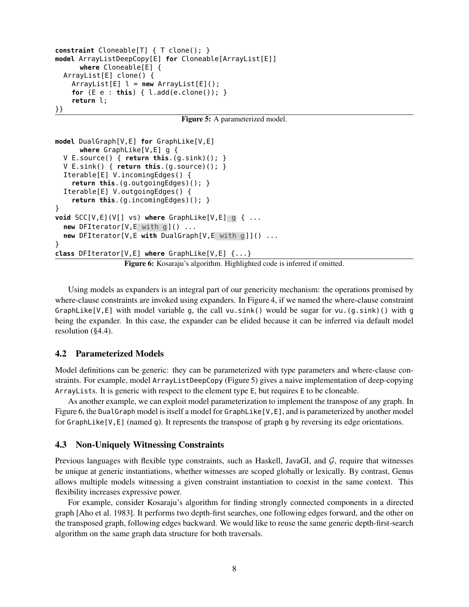```
constraint Cloneable[T] { T clone(); }
model ArrayListDeepCopy[E] for Cloneable[ArrayList[E]]
      where Cloneable[E] {
 ArrayList[E] clone() {
    ArrayList[E] l = new ArrayList[E](for (E e : this) { l.add(e.clone()); }
    return l;
}}
```
Figure 5: A parameterized model.

```
model DualGraph[V,E] for GraphLike[V,E]
      where GraphLike[V,E] g {
 V E.source() { return this.(g.sink)(); }
 V E.sink() { return this.(g.source)(); }
 Iterable[E] V.incomingEdges() {
    return this.(g.outgoingEdges)(); }
 Iterable[E] V.outgoingEdges() {
    return this.(g.incomingEdges)(); }
}
void SCC[V,E](V[] vs) where GraphLike[V,E] g { ...
 new DFIterator[V,E with g]() ...
 new DFIterator[V,E with DualGraph[V,E with g]]() ...
}
class DFIterator[V,E] where GraphLike[V,E] {...}
```
Figure 6: Kosaraju's algorithm. Highlighted code is inferred if omitted.

Using models as expanders is an integral part of our genericity mechanism: the operations promised by where-clause constraints are invoked using expanders. In Figure 4, if we named the where-clause constraint GraphLike[V,E] with model variable g, the call vu.sink() would be sugar for vu. (g.sink)() with g being the expander. In this case, the expander can be elided because it can be inferred via default model resolution (§4.4).

### 4.2 Parameterized Models

Model definitions can be generic: they can be parameterized with type parameters and where-clause constraints. For example, model ArrayListDeepCopy (Figure 5) gives a naive implementation of deep-copying ArrayLists. It is generic with respect to the element type E, but requires E to be cloneable.

As another example, we can exploit model parameterization to implement the transpose of any graph. In Figure 6, the DualGraph model is itself a model for GraphLike[V,E], and is parameterized by another model for GraphLike[V, E] (named q). It represents the transpose of graph q by reversing its edge orientations.

#### 4.3 Non-Uniquely Witnessing Constraints

Previous languages with flexible type constraints, such as Haskell, JavaGI, and  $\mathcal{G}$ , require that witnesses be unique at generic instantiations, whether witnesses are scoped globally or lexically. By contrast, Genus allows multiple models witnessing a given constraint instantiation to coexist in the same context. This flexibility increases expressive power.

For example, consider Kosaraju's algorithm for finding strongly connected components in a directed graph [\[Aho et al.](#page-33-1) [1983\]](#page-33-1). It performs two depth-first searches, one following edges forward, and the other on the transposed graph, following edges backward. We would like to reuse the same generic depth-first-search algorithm on the same graph data structure for both traversals.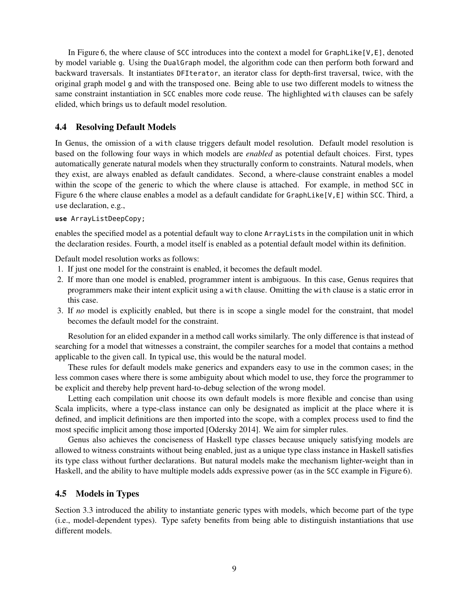In Figure 6, the where clause of SCC introduces into the context a model for GraphLike[V,E], denoted by model variable g. Using the DualGraph model, the algorithm code can then perform both forward and backward traversals. It instantiates DFIterator, an iterator class for depth-first traversal, twice, with the original graph model g and with the transposed one. Being able to use two different models to witness the same constraint instantiation in SCC enables more code reuse. The highlighted with clauses can be safely elided, which brings us to default model resolution.

### <span id="page-8-0"></span>4.4 Resolving Default Models

In Genus, the omission of a with clause triggers default model resolution. Default model resolution is based on the following four ways in which models are *enabled* as potential default choices. First, types automatically generate natural models when they structurally conform to constraints. Natural models, when they exist, are always enabled as default candidates. Second, a where-clause constraint enables a model within the scope of the generic to which the where clause is attached. For example, in method SCC in Figure [6](#page-7-0) the where clause enables a model as a default candidate for GraphLike[V,E] within SCC. Third, a use declaration, e.g.,

**use** ArrayListDeepCopy;

enables the specified model as a potential default way to clone ArrayLists in the compilation unit in which the declaration resides. Fourth, a model itself is enabled as a potential default model within its definition.

Default model resolution works as follows:

- 1. If just one model for the constraint is enabled, it becomes the default model.
- 2. If more than one model is enabled, programmer intent is ambiguous. In this case, Genus requires that programmers make their intent explicit using a with clause. Omitting the with clause is a static error in this case.
- 3. If *no* model is explicitly enabled, but there is in scope a single model for the constraint, that model becomes the default model for the constraint.

Resolution for an elided expander in a method call works similarly. The only difference is that instead of searching for a model that witnesses a constraint, the compiler searches for a model that contains a method applicable to the given call. In typical use, this would be the natural model.

These rules for default models make generics and expanders easy to use in the common cases; in the less common cases where there is some ambiguity about which model to use, they force the programmer to be explicit and thereby help prevent hard-to-debug selection of the wrong model.

Letting each compilation unit choose its own default models is more flexible and concise than using Scala implicits, where a type-class instance can only be designated as implicit at the place where it is defined, and implicit definitions are then imported into the scope, with a complex process used to find the most specific implicit among those imported [\[Odersky](#page-35-10) [2014\]](#page-35-10). We aim for simpler rules.

Genus also achieves the conciseness of Haskell type classes because uniquely satisfying models are allowed to witness constraints without being enabled, just as a unique type class instance in Haskell satisfies its type class without further declarations. But natural models make the mechanism lighter-weight than in Haskell, and the ability to have multiple models adds expressive power (as in the SCC example in Figure 6).

### 4.5 Models in Types

Section [3.3](#page-5-1) introduced the ability to instantiate generic types with models, which become part of the type (i.e., model-dependent types). Type safety benefits from being able to distinguish instantiations that use different models.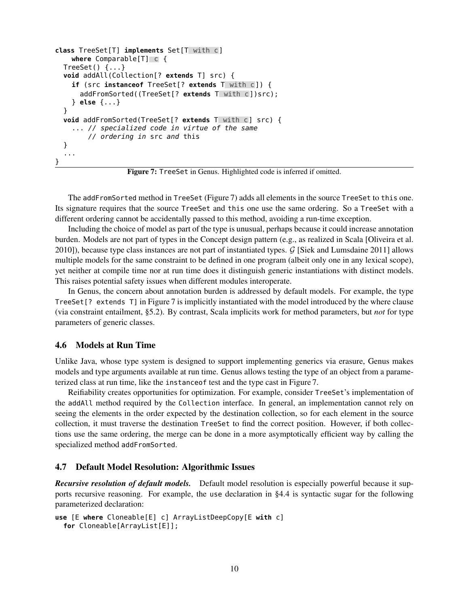```
class TreeSet[T] implements Set[T with c]
    where Comparable[T] c {
 TreeSet() {...}
 void addAll(Collection[? extends T] src) {
    if (src instanceof TreeSet[? extends T with c]) {
      addFromSorted((TreeSet[? extends T with c])src);
    } else {...}
 }
 void addFromSorted(TreeSet[? extends T with c] src) {
    ... // specialized code in virtue of the same
        // ordering in src and this
 }
  ...
}
```
Figure 7: TreeSet in Genus. Highlighted code is inferred if omitted.

The addFromSorted method in TreeSet (Figure 7) adds all elements in the source TreeSet to this one. Its signature requires that the source TreeSet and this one use the same ordering. So a TreeSet with a different ordering cannot be accidentally passed to this method, avoiding a run-time exception.

Including the choice of model as part of the type is unusual, perhaps because it could increase annotation burden. Models are not part of types in the Concept design pattern (e.g., as realized in Scala [\[Oliveira et al.](#page-35-5) [2010\]](#page-35-5)), because type class instances are not part of instantiated types. G [\[Siek and Lumsdaine](#page-35-2) [2011\]](#page-35-2) allows multiple models for the same constraint to be defined in one program (albeit only one in any lexical scope), yet neither at compile time nor at run time does it distinguish generic instantiations with distinct models. This raises potential safety issues when different modules interoperate.

In Genus, the concern about annotation burden is addressed by default models. For example, the type TreeSet[? extends T] in Figure 7 is implicitly instantiated with the model introduced by the where clause (via constraint entailment, §5.2). By contrast, Scala implicits work for method parameters, but *not* for type parameters of generic classes.

### 4.6 Models at Run Time

Unlike Java, whose type system is designed to support implementing generics via erasure, Genus makes models and type arguments available at run time. Genus allows testing the type of an object from a parameterized class at run time, like the instanceof test and the type cast in Figure 7.

Reifiability creates opportunities for optimization. For example, consider TreeSet's implementation of the addAll method required by the Collection interface. In general, an implementation cannot rely on seeing the elements in the order expected by the destination collection, so for each element in the source collection, it must traverse the destination TreeSet to find the correct position. However, if both collections use the same ordering, the merge can be done in a more asymptotically efficient way by calling the specialized method addFromSorted.

#### <span id="page-9-0"></span>4.7 Default Model Resolution: Algorithmic Issues

*Recursive resolution of default models.* Default model resolution is especially powerful because it supports recursive reasoning. For example, the use declaration in §4.4 is syntactic sugar for the following parameterized declaration:

```
use [E where Cloneable[E] c] ArrayListDeepCopy[E with c]
 for Cloneable[ArrayList[E]];
```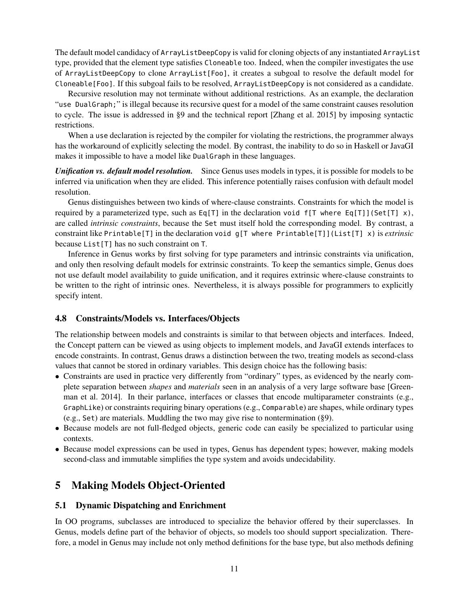The default model candidacy of ArrayListDeepCopy is valid for cloning objects of any instantiated ArrayList type, provided that the element type satisfies Cloneable too. Indeed, when the compiler investigates the use of ArrayListDeepCopy to clone ArrayList[Foo], it creates a subgoal to resolve the default model for Cloneable[Foo]. If this subgoal fails to be resolved, ArrayListDeepCopy is not considered as a candidate.

Recursive resolution may not terminate without additional restrictions. As an example, the declaration "use DualGraph;" is illegal because its recursive quest for a model of the same constraint causes resolution to cycle. The issue is addressed in §9 and the technical report [\[Zhang et al.](#page-36-2) [2015\]](#page-36-2) by imposing syntactic restrictions.

When a use declaration is rejected by the compiler for violating the restrictions, the programmer always has the workaround of explicitly selecting the model. By contrast, the inability to do so in Haskell or JavaGI makes it impossible to have a model like DualGraph in these languages.

*Unification vs. default model resolution.* Since Genus uses models in types, it is possible for models to be inferred via unification when they are elided. This inference potentially raises confusion with default model resolution.

Genus distinguishes between two kinds of where-clause constraints. Constraints for which the model is required by a parameterized type, such as Eq[T] in the declaration void  $f[T$  where Eq[T]](Set[T] x), are called *intrinsic constraints*, because the Set must itself hold the corresponding model. By contrast, a constraint like Printable[T] in the declaration void g[T where Printable[T]](List[T] x) is *extrinsic* because List[T] has no such constraint on T.

Inference in Genus works by first solving for type parameters and intrinsic constraints via unification, and only then resolving default models for extrinsic constraints. To keep the semantics simple, Genus does not use default model availability to guide unification, and it requires extrinsic where-clause constraints to be written to the right of intrinsic ones. Nevertheless, it is always possible for programmers to explicitly specify intent.

### 4.8 Constraints/Models vs. Interfaces/Objects

The relationship between models and constraints is similar to that between objects and interfaces. Indeed, the Concept pattern can be viewed as using objects to implement models, and JavaGI extends interfaces to encode constraints. In contrast, Genus draws a distinction between the two, treating models as second-class values that cannot be stored in ordinary variables. This design choice has the following basis:

- Constraints are used in practice very differently from "ordinary" types, as evidenced by the nearly complete separation between *shapes* and *materials* seen in an analysis of a very large software base [\[Green](#page-34-7)[man et al.](#page-34-7) [2014\]](#page-34-7). In their parlance, interfaces or classes that encode multiparameter constraints (e.g., GraphLike) or constraints requiring binary operations (e.g., Comparable) are shapes, while ordinary types (e.g., Set) are materials. Muddling the two may give rise to nontermination (§9).
- Because models are not full-fledged objects, generic code can easily be specialized to particular using contexts.
- Because model expressions can be used in types, Genus has dependent types; however, making models second-class and immutable simplifies the type system and avoids undecidability.

# 5 Making Models Object-Oriented

### 5.1 Dynamic Dispatching and Enrichment

In OO programs, subclasses are introduced to specialize the behavior offered by their superclasses. In Genus, models define part of the behavior of objects, so models too should support specialization. Therefore, a model in Genus may include not only method definitions for the base type, but also methods defining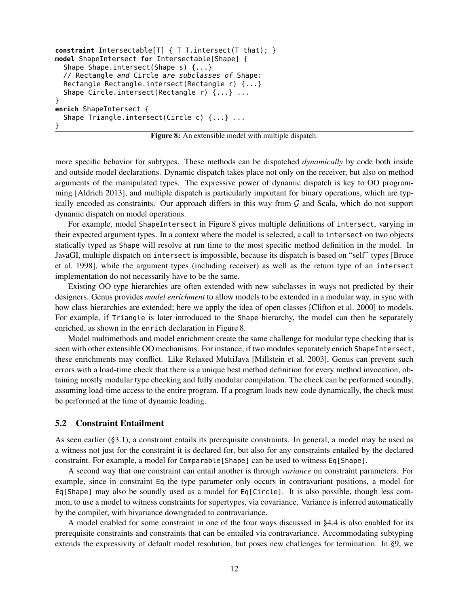```
constraint Intersectable[T] { T T.intersect(T that); }
model ShapeIntersect for Intersectable[Shape] {
 Shape Shape.intersect(Shape s) {...}
 // Rectangle and Circle are subclasses of Shape:
 Rectangle Rectangle.intersect(Rectangle r) {...}
  Shape Circle.intersect(Rectangle r) {...} ...
}
enrich ShapeIntersect {
  Shape Triangle.intersect(Circle c) {...} ...
}
```
Figure 8: An extensible model with multiple dispatch.

more specific behavior for subtypes. These methods can be dispatched *dynamically* by code both inside and outside model declarations. Dynamic dispatch takes place not only on the receiver, but also on method arguments of the manipulated types. The expressive power of dynamic dispatch is key to OO programming [\[Aldrich](#page-33-2) [2013\]](#page-33-2), and multiple dispatch is particularly important for binary operations, which are typically encoded as constraints. Our approach differs in this way from  $G$  and Scala, which do not support dynamic dispatch on model operations.

For example, model ShapeIntersect in Figure 8 gives multiple definitions of intersect, varying in their expected argument types. In a context where the model is selected, a call to intersect on two objects statically typed as Shape will resolve at run time to the most specific method definition in the model. In JavaGI, multiple dispatch on intersect is impossible, because its dispatch is based on "self" types [\[Bruce](#page-33-3) [et al.](#page-33-3) [1998\]](#page-33-3), while the argument types (including receiver) as well as the return type of an intersect implementation do not necessarily have to be the same.

Existing OO type hierarchies are often extended with new subclasses in ways not predicted by their designers. Genus provides *model enrichment* to allow models to be extended in a modular way, in sync with how class hierarchies are extended; here we apply the idea of open classes [\[Clifton et al.](#page-34-8) [2000\]](#page-34-8) to models. For example, if Triangle is later introduced to the Shape hierarchy, the model can then be separately enriched, as shown in the enrich declaration in Figure 8.

Model multimethods and model enrichment create the same challenge for modular type checking that is seen with other extensible OO mechanisms. For instance, if two modules separately enrich ShapeIntersect, these enrichments may conflict. Like Relaxed MultiJava [\[Millstein et al.](#page-35-11) [2003\]](#page-35-11), Genus can prevent such errors with a load-time check that there is a unique best method definition for every method invocation, obtaining mostly modular type checking and fully modular compilation. The check can be performed soundly, assuming load-time access to the entire program. If a program loads new code dynamically, the check must be performed at the time of dynamic loading.

### <span id="page-11-0"></span>5.2 Constraint Entailment

As seen earlier (§3.1), a constraint entails its prerequisite constraints. In general, a model may be used as a witness not just for the constraint it is declared for, but also for any constraints entailed by the declared constraint. For example, a model for Comparable[Shape] can be used to witness Eq[Shape].

A second way that one constraint can entail another is through *variance* on constraint parameters. For example, since in constraint Eq the type parameter only occurs in contravariant positions, a model for Eq[Shape] may also be soundly used as a model for Eq[Circle]. It is also possible, though less common, to use a model to witness constraints for supertypes, via covariance. Variance is inferred automatically by the compiler, with bivariance downgraded to contravariance.

A model enabled for some constraint in one of the four ways discussed in §4.4 is also enabled for its prerequisite constraints and constraints that can be entailed via contravariance. Accommodating subtyping extends the expressivity of default model resolution, but poses new challenges for termination. In §9, we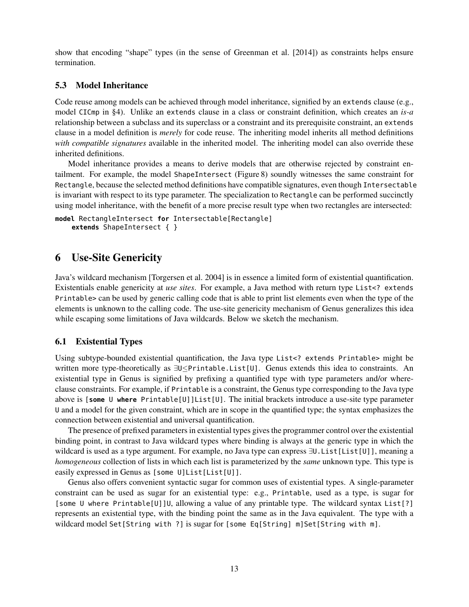show that encoding "shape" types (in the sense of [Greenman et al.](#page-34-7) [\[2014\]](#page-34-7)) as constraints helps ensure termination.

### 5.3 Model Inheritance

Code reuse among models can be achieved through model inheritance, signified by an extends clause (e.g., model CICmp in §4). Unlike an extends clause in a class or constraint definition, which creates an *is-a* relationship between a subclass and its superclass or a constraint and its prerequisite constraint, an extends clause in a model definition is *merely* for code reuse. The inheriting model inherits all method definitions *with compatible signatures* available in the inherited model. The inheriting model can also override these inherited definitions.

Model inheritance provides a means to derive models that are otherwise rejected by constraint entailment. For example, the model ShapeIntersect (Figure 8) soundly witnesses the same constraint for Rectangle, because the selected method definitions have compatible signatures, even though Intersectable is invariant with respect to its type parameter. The specialization to Rectangle can be performed succinctly using model inheritance, with the benefit of a more precise result type when two rectangles are intersected:

```
model RectangleIntersect for Intersectable[Rectangle]
    extends ShapeIntersect { }
```
### 6 Use-Site Genericity

Java's wildcard mechanism [\[Torgersen et al.](#page-35-12) [2004\]](#page-35-12) is in essence a limited form of existential quantification. Existentials enable genericity at *use sites*. For example, a Java method with return type List<? extends Printable> can be used by generic calling code that is able to print list elements even when the type of the elements is unknown to the calling code. The use-site genericity mechanism of Genus generalizes this idea while escaping some limitations of Java wildcards. Below we sketch the mechanism.

### 6.1 Existential Types

Using subtype-bounded existential quantification, the Java type List<? extends Printable> might be written more type-theoretically as ∃U≤Printable.List[U]. Genus extends this idea to constraints. An existential type in Genus is signified by prefixing a quantified type with type parameters and/or whereclause constraints. For example, if Printable is a constraint, the Genus type corresponding to the Java type above is [**some** U **where** Printable[U]]List[U]. The initial brackets introduce a use-site type parameter U and a model for the given constraint, which are in scope in the quantified type; the syntax emphasizes the connection between existential and universal quantification.

The presence of prefixed parameters in existential types gives the programmer control over the existential binding point, in contrast to Java wildcard types where binding is always at the generic type in which the wildcard is used as a type argument. For example, no Java type can express ∃U.List[List[U]], meaning a *homogeneous* collection of lists in which each list is parameterized by the *same* unknown type. This type is easily expressed in Genus as [some U]List[List[U]].

Genus also offers convenient syntactic sugar for common uses of existential types. A single-parameter constraint can be used as sugar for an existential type: e.g., Printable, used as a type, is sugar for [some U where Printable[U]]U, allowing a value of any printable type. The wildcard syntax List[?] represents an existential type, with the binding point the same as in the Java equivalent. The type with a wildcard model Set[String with ?] is sugar for [some Eq[String] m]Set[String with m].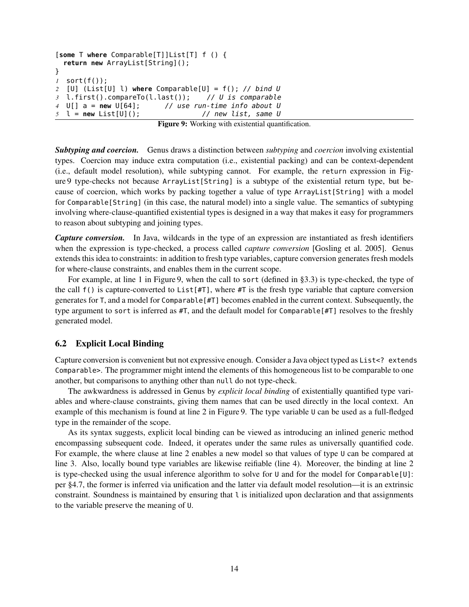```
[some T where Comparable[T]]List[T] f () {
  return new ArrayList[String]();
}
1 sort(f());
2 [U] (List[U] l) where Comparable[U] = f(); // bind U
3 l.first().compareTo(l.last()); // U is comparable
4 U[] a = new U[64]; // use run-time info about U
5 l = new List[U](); // new list, same U
```
Figure 9: Working with existential quantification.

<span id="page-13-3"></span>*Subtyping and coercion.* Genus draws a distinction between *subtyping* and *coercion* involving existential types. Coercion may induce extra computation (i.e., existential packing) and can be context-dependent (i.e., default model resolution), while subtyping cannot. For example, the return expression in Figure 9 type-checks not because ArrayList[String] is a subtype of the existential return type, but because of coercion, which works by packing together a value of type ArrayList[String] with a model for Comparable[String] (in this case, the natural model) into a single value. The semantics of subtyping involving where-clause-quantified existential types is designed in a way that makes it easy for programmers to reason about subtyping and joining types.

*Capture conversion.* In Java, wildcards in the type of an expression are instantiated as fresh identifiers when the expression is type-checked, a process called *capture conversion* [\[Gosling et al.](#page-34-9) [2005\]](#page-34-9). Genus extends this idea to constraints: in addition to fresh type variables, capture conversion generates fresh models for where-clause constraints, and enables them in the current scope.

For example, at line [1](#page-13-0) in Figure 9, when the call to sort (defined in §3.3) is type-checked, the type of the call  $f()$  is capture-converted to List $[#T]$ , where  $#T$  is the fresh type variable that capture conversion generates for T, and a model for Comparable[#T] becomes enabled in the current context. Subsequently, the type argument to sort is inferred as #T, and the default model for Comparable[#T] resolves to the freshly generated model.

### 6.2 Explicit Local Binding

Capture conversion is convenient but not expressive enough. Consider a Java object typed as List<? extends Comparable>. The programmer might intend the elements of this homogeneous list to be comparable to one another, but comparisons to anything other than null do not type-check.

The awkwardness is addressed in Genus by *explicit local binding* of existentially quantified type variables and where-clause constraints, giving them names that can be used directly in the local context. An example of this mechanism is found at line [2](#page-13-1) in Figure 9. The type variable U can be used as a full-fledged type in the remainder of the scope.

As its syntax suggests, explicit local binding can be viewed as introducing an inlined generic method encompassing subsequent code. Indeed, it operates under the same rules as universally quantified code. For example, the where clause at line [2](#page-13-1) enables a new model so that values of type U can be compared at line [3.](#page-13-2) Also, locally bound type variables are likewise reifiable (line [4\)](#page-13-3). Moreover, the binding at line [2](#page-13-1) is type-checked using the usual inference algorithm to solve for U and for the model for Comparable[U]: per §4.7, the former is inferred via unification and the latter via default model resolution—it is an extrinsic constraint. Soundness is maintained by ensuring that l is initialized upon declaration and that assignments to the variable preserve the meaning of U.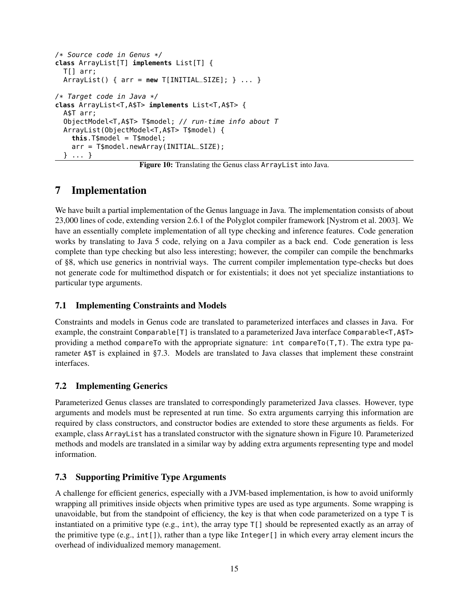```
/* Source code in Genus */
class ArrayList[T] implements List[T] {
 T[] arr;
 ArrayList() { arr = new T[INITIAL_SIZE]; } ... }
/* Target code in Java */
class ArrayList<T,A$T> implements List<T,A$T> {
 A$T arr;
  ObjectModel<T,A$T> T$model; // run-time info about T
 ArrayList(ObjectModel<T,A$T> T$model) {
    this.T$model = T$model;
    arr = T$model.newArray(INITIAL_SIZE);
 } ... }
```
Figure 10: Translating the Genus class ArrayList into Java.

### 7 Implementation

We have built a partial implementation of the Genus language in Java. The implementation consists of about 23,000 lines of code, extending version 2.6.1 of the Polyglot compiler framework [\[Nystrom et al.](#page-35-13) [2003\]](#page-35-13). We have an essentially complete implementation of all type checking and inference features. Code generation works by translating to Java 5 code, relying on a Java compiler as a back end. Code generation is less complete than type checking but also less interesting; however, the compiler can compile the benchmarks of §8, which use generics in nontrivial ways. The current compiler implementation type-checks but does not generate code for multimethod dispatch or for existentials; it does not yet specialize instantiations to particular type arguments.

### 7.1 Implementing Constraints and Models

Constraints and models in Genus code are translated to parameterized interfaces and classes in Java. For example, the constraint Comparable [T] is translated to a parameterized Java interface Comparable<T, A\$T> providing a method compareTo with the appropriate signature: int compareTo( $T$ ,T). The extra type parameter A\$T is explained in §7.3. Models are translated to Java classes that implement these constraint interfaces.

### 7.2 Implementing Generics

Parameterized Genus classes are translated to correspondingly parameterized Java classes. However, type arguments and models must be represented at run time. So extra arguments carrying this information are required by class constructors, and constructor bodies are extended to store these arguments as fields. For example, class ArrayList has a translated constructor with the signature shown in Figure 10. Parameterized methods and models are translated in a similar way by adding extra arguments representing type and model information.

### 7.3 Supporting Primitive Type Arguments

A challenge for efficient generics, especially with a JVM-based implementation, is how to avoid uniformly wrapping all primitives inside objects when primitive types are used as type arguments. Some wrapping is unavoidable, but from the standpoint of efficiency, the key is that when code parameterized on a type T is instantiated on a primitive type  $(e.g., \text{int})$ , the array type  $T[$ ] should be represented exactly as an array of the primitive type (e.g., int[]), rather than a type like Integer[] in which every array element incurs the overhead of individualized memory management.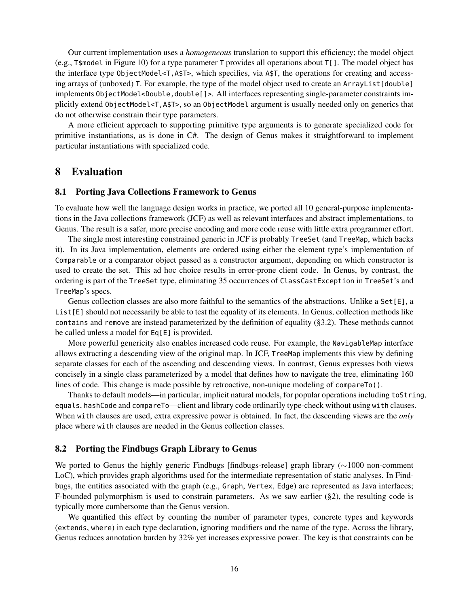Our current implementation uses a *homogeneous* translation to support this efficiency; the model object (e.g., T\$model in Figure 10) for a type parameter  $\mathsf T$  provides all operations about  $\mathsf T[]$ . The model object has the interface type ObjectModel<T,A\$T>, which specifies, via A\$T, the operations for creating and accessing arrays of (unboxed) T. For example, the type of the model object used to create an ArrayList[double] implements  $ObjectModel$  -Double, double [] >. All interfaces representing single-parameter constraints implicitly extend ObjectModel<T,A\$T>, so an ObjectModel argument is usually needed only on generics that do not otherwise constrain their type parameters.

A more efficient approach to supporting primitive type arguments is to generate specialized code for primitive instantiations, as is done in C#. The design of Genus makes it straightforward to implement particular instantiations with specialized code.

### 8 Evaluation

### 8.1 Porting Java Collections Framework to Genus

To evaluate how well the language design works in practice, we ported all 10 general-purpose implementations in the Java collections framework (JCF) as well as relevant interfaces and abstract implementations, to Genus. The result is a safer, more precise encoding and more code reuse with little extra programmer effort.

The single most interesting constrained generic in JCF is probably TreeSet (and TreeMap, which backs it). In its Java implementation, elements are ordered using either the element type's implementation of Comparable or a comparator object passed as a constructor argument, depending on which constructor is used to create the set. This ad hoc choice results in error-prone client code. In Genus, by contrast, the ordering is part of the TreeSet type, eliminating 35 occurrences of ClassCastException in TreeSet's and TreeMap's specs.

Genus collection classes are also more faithful to the semantics of the abstractions. Unlike a Set[E], a List[E] should not necessarily be able to test the equality of its elements. In Genus, collection methods like contains and remove are instead parameterized by the definition of equality (§3.2). These methods cannot be called unless a model for Eq[E] is provided.

More powerful genericity also enables increased code reuse. For example, the NavigableMap interface allows extracting a descending view of the original map. In JCF, TreeMap implements this view by defining separate classes for each of the ascending and descending views. In contrast, Genus expresses both views concisely in a single class parameterized by a model that defines how to navigate the tree, eliminating 160 lines of code. This change is made possible by retroactive, non-unique modeling of compareTo().

Thanks to default models—in particular, implicit natural models, for popular operations including toString, equals, hashCode and compareTo—client and library code ordinarily type-check without using with clauses. When with clauses are used, extra expressive power is obtained. In fact, the descending views are the *only* place where with clauses are needed in the Genus collection classes.

### 8.2 Porting the Findbugs Graph Library to Genus

We ported to Genus the highly generic Findbugs [\[findbugs-release\]](#page-34-6) graph library (∼1000 non-comment LoC), which provides graph algorithms used for the intermediate representation of static analyses. In Findbugs, the entities associated with the graph (e.g., Graph, Vertex, Edge) are represented as Java interfaces; F-bounded polymorphism is used to constrain parameters. As we saw earlier (§2), the resulting code is typically more cumbersome than the Genus version.

We quantified this effect by counting the number of parameter types, concrete types and keywords (extends, where) in each type declaration, ignoring modifiers and the name of the type. Across the library, Genus reduces annotation burden by 32% yet increases expressive power. The key is that constraints can be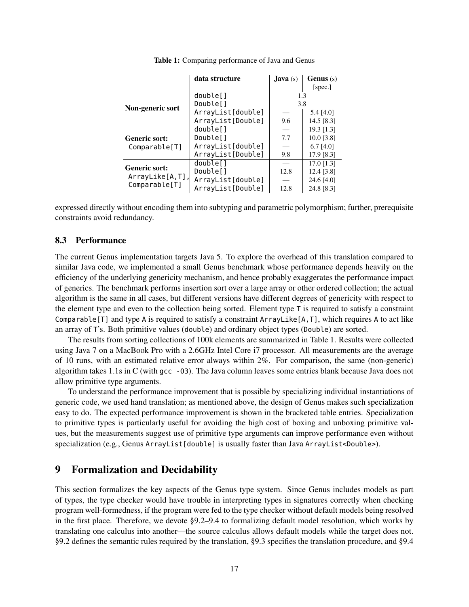<span id="page-16-0"></span>

|                                                          | data structure    | $\mathbf{Java}(s)$ | Genus(s)    |  |  |  |
|----------------------------------------------------------|-------------------|--------------------|-------------|--|--|--|
|                                                          |                   |                    | [spec.]     |  |  |  |
|                                                          | double[]          | 1.3                |             |  |  |  |
|                                                          | Double[]          | 3.8                |             |  |  |  |
| Non-generic sort                                         | ArrayList[double] |                    | 5.4 [4.0]   |  |  |  |
|                                                          | ArrayList[Double] | 9.6                | 14.5 [8.3]  |  |  |  |
| <b>Generic sort:</b><br>Comparable[T]                    | double[]          |                    | 19.3 [1.3]  |  |  |  |
|                                                          | Double[]          | 7.7                | 10.0 [3.8]  |  |  |  |
|                                                          | ArrayList[double] |                    | $6.7$ [4.0] |  |  |  |
|                                                          | ArrayList[Double] | 9.8                | 17.9 [8.3]  |  |  |  |
| <b>Generic sort:</b><br>ArrayLike[A,T],<br>Comparable[T] | double[]          |                    | 17.0 [1.3]  |  |  |  |
|                                                          | Double[]          | 12.8               | 12.4 [3.8]  |  |  |  |
|                                                          | ArrayList[double] |                    | 24.6 [4.0]  |  |  |  |
|                                                          | ArrayList[Double] | 12.8               | 24.8 [8.3]  |  |  |  |

Table 1: Comparing performance of Java and Genus

expressed directly without encoding them into subtyping and parametric polymorphism; further, prerequisite constraints avoid redundancy.

### 8.3 Performance

The current Genus implementation targets Java 5. To explore the overhead of this translation compared to similar Java code, we implemented a small Genus benchmark whose performance depends heavily on the efficiency of the underlying genericity mechanism, and hence probably exaggerates the performance impact of generics. The benchmark performs insertion sort over a large array or other ordered collection; the actual algorithm is the same in all cases, but different versions have different degrees of genericity with respect to the element type and even to the collection being sorted. Element type T is required to satisfy a constraint Comparable [T] and type A is required to satisfy a constraint  $ArrayLike[A, T]$ , which requires A to act like an array of T's. Both primitive values (double) and ordinary object types (Double) are sorted.

The results from sorting collections of 100k elements are summarized in Table [1.](#page-16-0) Results were collected using Java 7 on a MacBook Pro with a 2.6GHz Intel Core i7 processor. All measurements are the average of 10 runs, with an estimated relative error always within 2%. For comparison, the same (non-generic) algorithm takes 1.1s in C (with gcc -03). The Java column leaves some entries blank because Java does not allow primitive type arguments.

To understand the performance improvement that is possible by specializing individual instantiations of generic code, we used hand translation; as mentioned above, the design of Genus makes such specialization easy to do. The expected performance improvement is shown in the bracketed table entries. Specialization to primitive types is particularly useful for avoiding the high cost of boxing and unboxing primitive values, but the measurements suggest use of primitive type arguments can improve performance even without specialization (e.g., Genus ArrayList [double] is usually faster than Java ArrayList<Double>).

### 9 Formalization and Decidability

This section formalizes the key aspects of the Genus type system. Since Genus includes models as part of types, the type checker would have trouble in interpreting types in signatures correctly when checking program well-formedness, if the program were fed to the type checker without default models being resolved in the first place. Therefore, we devote [§9.2](#page-18-0)[–9.4](#page-22-0) to formalizing default model resolution, which works by translating one calculus into another—the source calculus allows default models while the target does not. §9.2 defines the semantic rules required by the translation, §9.3 specifies the translation procedure, and §9.4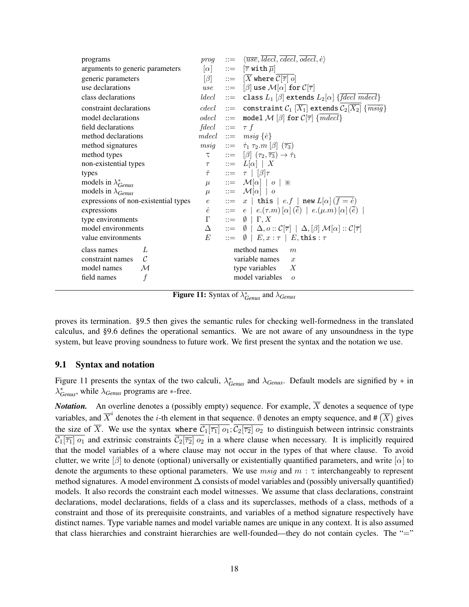<span id="page-17-0"></span>

| programs                             |                    | <i>prog</i> $ ::= \langle \overline{use}, \text{ldecl}, \text{cdecl}, \text{odecl}, \dot{e} \rangle$                                                 |
|--------------------------------------|--------------------|------------------------------------------------------------------------------------------------------------------------------------------------------|
| arguments to generic parameters      |                    | $[\alpha]$ ::= $[\overline{\tau}$ with $\overline{\mu}]$                                                                                             |
| generic parameters                   |                    | $[\beta]$ ::= $[\overline{X}$ where $\mathcal{C}[\overline{\tau}]$ o]                                                                                |
| use declarations                     |                    | <i>use</i> $\;\;::=\;\; [\beta]$ use $\mathcal{M}[\alpha]$ for $\mathcal{C}[\overline{\tau}]$                                                        |
| class declarations                   |                    | <i>ldecl</i> ::= class $L_1 [\beta]$ extends $L_2[\alpha]$ {fdecl mdecl}                                                                             |
| constraint declarations              | $cdect \quad ::=$  | constraint $\mathcal{C}_1[\overline{X_1}]$ extends $\mathcal{C}_2[\overline{X_2}]$ $\{\overline{msig}\}$                                             |
| model declarations                   | $odecl \quad ::=$  | model M $[\beta]$ for $\mathcal{C}[\overline{\tau}]$ {mdecl}                                                                                         |
| field declarations                   | fdecl ::= $\tau f$ |                                                                                                                                                      |
| method declarations                  |                    | $mdec1 \ ::= \ misig\{\dot{e}\}\$                                                                                                                    |
| method signatures                    |                    | $msig := \dot{\tau}_1 \tau_2 \dot{m} [\beta] (\overline{\tau_3})$                                                                                    |
| method types                         |                    | $\tau$ ::= $[\beta] (\tau_2, \overline{\tau_3}) \rightarrow \dot{\tau}_1$                                                                            |
| non-existential types                |                    | $\tau$ ::= $L[\alpha]$   X                                                                                                                           |
| types                                |                    | $\dot{\tau}$ ::= $\tau$   $\beta \tau$                                                                                                               |
| models in $\lambda_{Genus}^*$        |                    | $\mu$ ::= $\mathcal{M}[\alpha]   o   *$                                                                                                              |
| models in $\lambda_{Genus}$          | $\mu$              | $\therefore = \mathcal{M}[\alpha] \mid o$                                                                                                            |
| expressions of non-existential types |                    | $e$ := $x \mid \text{this} \mid e.f \mid \text{new } L[\alpha](\overline{f} = \overline{e})$                                                         |
| expressions                          |                    | $\dot{e}$ : = $e \mid e.(\tau.m) [\alpha](\overline{\dot{e}}) \mid e.(\mu.m) [\alpha](\overline{\dot{e}})$                                           |
| type environments                    | $\Gamma$           | $\mathrel{\mathop:}= \emptyset \mid \Gamma, X$                                                                                                       |
| model environments                   |                    | $\Delta$ ::= $\emptyset$ $\Delta$ , $o$ :: $\mathcal{C}[\overline{\tau}]$ $\Delta$ , $\beta$ $\mathcal{M}[\alpha]$ :: $\mathcal{C}[\overline{\tau}]$ |
| value environments                   | E                  | $\therefore = \emptyset \mid E, x : \tau \mid E$ , this : $\tau$                                                                                     |
| L<br>class names                     |                    | method names<br>m                                                                                                                                    |
| $\mathcal{C}$<br>constraint names    |                    | variable names<br>$\boldsymbol{x}$                                                                                                                   |
| model names<br>${\cal M}$            |                    | type variables<br>$\boldsymbol{X}$                                                                                                                   |
| $\boldsymbol{f}$<br>field names      |                    | model variables<br>$\overline{O}$                                                                                                                    |

**Figure 11:** Syntax of  $\lambda_{Genus}^*$  and  $\lambda_{Genus}$ 

proves its termination. §9.5 then gives the semantic rules for checking well-formedness in the translated calculus, and §9.6 defines the operational semantics. We are not aware of any unsoundness in the type system, but leave proving soundness to future work. We first present the syntax and the notation we use.

#### 9.1 Syntax and notation

Figure [11](#page-17-0) presents the syntax of the two calculi,  $\lambda_{Genus}^*$  and  $\lambda_{Genus}$ . Default models are signified by  $*$  in  $\lambda_{Genus}^*$ , while  $\lambda_{Genus}$  programs are ∗-free.

*Notation.* An overline denotes a (possibly empty) sequence. For example,  $\overline{X}$  denotes a sequence of type variables, and  $\overline{X}^i$  denotes the *i*-th element in that sequence. Ø denotes an empty sequence, and  $\#(\overline{X})$  gives the size of  $\overline{X}$ . We use the syntax where  $\overline{C_1[\overline{\tau_1}] o_1}; \overline{C_2[\overline{\tau_2}] o_2}$  to distinguish between intrinsic constraints  $\overline{C_1[\overline{\tau_1}]\ o_1}$  and extrinsic constraints  $\overline{C_2[\overline{\tau_2}]\ o_2}$  in a where clause when necessary. It is implicitly required that the model variables of a where clause may not occur in the types of that where clause. To avoid clutter, we write  $\lbrack \beta \rbrack$  to denote (optional) universally or existentially quantified parameters, and write  $\lbrack \alpha \rbrack$  to denote the arguments to these optional parameters. We use msig and  $m : \tau$  interchangeably to represent method signatures. A model environment ∆ consists of model variables and (possibly universally quantified) models. It also records the constraint each model witnesses. We assume that class declarations, constraint declarations, model declarations, fields of a class and its superclasses, methods of a class, methods of a constraint and those of its prerequisite constraints, and variables of a method signature respectively have distinct names. Type variable names and model variable names are unique in any context. It is also assumed that class hierarchies and constraint hierarchies are well-founded—they do not contain cycles. The "="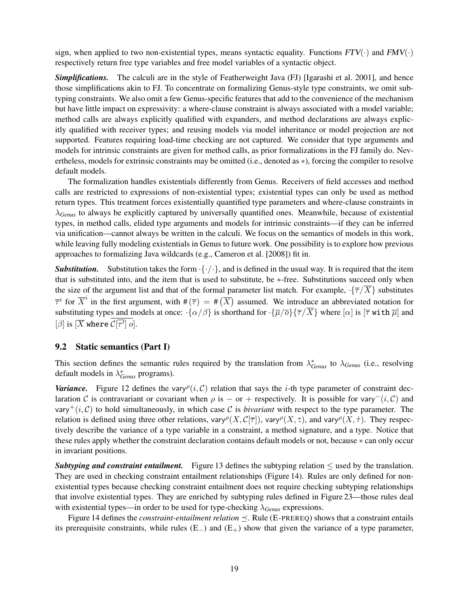sign, when applied to two non-existential types, means syntactic equality. Functions  $FTV(\cdot)$  and  $FMV(\cdot)$ respectively return free type variables and free model variables of a syntactic object.

*Simplifications.* The calculi are in the style of Featherweight Java (FJ) [\[Igarashi et al.](#page-34-10) [2001\]](#page-34-10), and hence those simplifications akin to FJ. To concentrate on formalizing Genus-style type constraints, we omit subtyping constraints. We also omit a few Genus-specific features that add to the convenience of the mechanism but have little impact on expressivity: a where-clause constraint is always associated with a model variable; method calls are always explicitly qualified with expanders, and method declarations are always explicitly qualified with receiver types; and reusing models via model inheritance or model projection are not supported. Features requiring load-time checking are not captured. We consider that type arguments and models for intrinsic constraints are given for method calls, as prior formalizations in the FJ family do. Nevertheless, models for extrinsic constraints may be omitted (i.e., denoted as  $\ast$ ), forcing the compiler to resolve default models.

The formalization handles existentials differently from Genus. Receivers of field accesses and method calls are restricted to expressions of non-existential types; existential types can only be used as method return types. This treatment forces existentially quantified type parameters and where-clause constraints in λ*Genus* to always be explicitly captured by universally quantified ones. Meanwhile, because of existential types, in method calls, elided type arguments and models for intrinsic constraints—if they can be inferred via unification—cannot always be written in the calculi. We focus on the semantics of models in this work, while leaving fully modeling existentials in Genus to future work. One possibility is to explore how previous approaches to formalizing Java wildcards (e.g., [Cameron et al.](#page-34-11) [\[2008\]](#page-34-11)) fit in.

*Substitution.* Substitution takes the form  $\{\cdot/\cdot\}$ , and is defined in the usual way. It is required that the item that is substituted into, and the item that is used to substitute, be ∗-free. Substitutions succeed only when the size of the argument list and that of the formal parameter list match. For example,  $\{\overline{\tau}/\overline{X}\}$  substitutes  $\overline{\tau}^i$  for  $\overline{X}^i$  in the first argument, with  $\pi(\overline{\tau}) = \pi(\overline{X})$  assumed. We introduce an abbreviated notation for substituting types and models at once:  $\{\alpha/\beta\}$  is shorthand for  $\{\overline{\mu}/\overline{\sigma}\}\{\overline{\tau}/\overline{X}\}$  where  $[\alpha]$  is  $[\overline{\tau}$  with  $\overline{\mu}]$  and  $[\beta]$  is  $[\overline{X}$  where  $\mathcal{C}[\overline{\tau'}]$   $o].$ 

### <span id="page-18-0"></span>9.2 Static semantics (Part I)

This section defines the semantic rules required by the translation from  $\lambda_{Genus}^*$  to  $\lambda_{Genus}$  (i.e., resolving default models in λ ∗ *Genus* programs).

Variance. Figure [12](#page-19-0) defines the vary  $\ell(i, C)$  relation that says the *i*-th type parameter of constraint declaration C is contravariant or covariant when  $\rho$  is – or + respectively. It is possible for vary<sup>-</sup>(i, C) and vary<sup>+</sup>(i, C) to hold simultaneously, in which case C is *bivariant* with respect to the type parameter. The relation is defined using three other relations,  $\text{vary}^{\rho}(X, \mathcal{C}[\overline{\tau}])$ ,  $\text{vary}^{\rho}(X, \tau)$ , and  $\text{vary}^{\rho}(X, \dot{\tau})$ . They respectively describe the variance of a type variable in a constraint, a method signature, and a type. Notice that these rules apply whether the constraint declaration contains default models or not, because ∗ can only occur in invariant positions.

*Subtyping and constraint entailment.* Figure 13 defines the subtyping relation  $\leq$  used by the translation. They are used in checking constraint entailment relationships (Figure 14). Rules are only defined for nonexistential types because checking constraint entailment does not require checking subtyping relationships that involve existential types. They are enriched by subtyping rules defined in Figure 23—those rules deal with existential types—in order to be used for type-checking λ*Genus* expressions.

Figure 14 defines the *constraint-entailment relation*  $\preceq$ . Rule (E-PREREQ) shows that a constraint entails its prerequisite constraints, while rules  $(E_+)$  and  $(E_+)$  show that given the variance of a type parameter,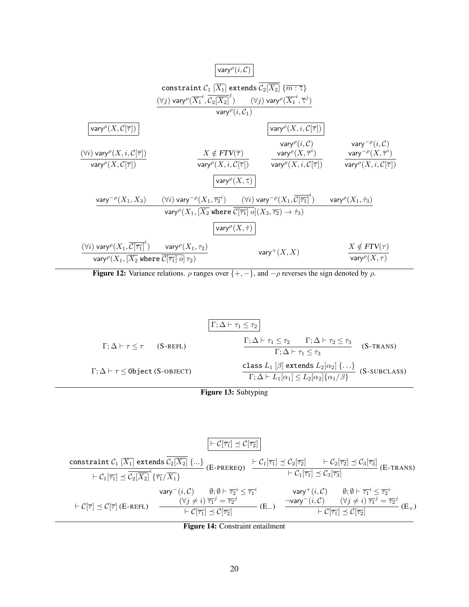<span id="page-19-0"></span>

Figure 12: Variance relations.  $\rho$  ranges over  $\{+,-\}$ , and  $-\rho$  reverses the sign denoted by  $\rho$ .

$$
\Gamma; \Delta \vdash \tau \leq \tau \qquad \text{(S-REFL)} \qquad \qquad \frac{\Gamma; \Delta \vdash \tau_1 \leq \tau_2 \qquad \Gamma; \Delta \vdash \tau_2 \leq \tau_3}{\Gamma; \Delta \vdash \tau_1 \leq \tau_3} \qquad \text{(S-Trans)}
$$
\n
$$
\Gamma; \Delta \vdash \tau \leq \text{Object (S-OBJECT)} \qquad \qquad \frac{\text{class } L_1 [\beta] \text{ extends } L_2[\alpha_2] \{ \dots \}}{\Gamma; \Delta \vdash L_1[\alpha_1] \leq L_2[\alpha_2] \{ \alpha_1/\beta \}} \qquad \text{(S-SUBCLASS)}
$$

Figure 13: Subtyping

$$
\frac{\text{constraint } C_1 \left[\overline{X_1}\right] \text{ extends } \overline{C_2[\overline{X_2}] } \left\{\dots\right\}}{\left[\frac{\overline{C_1} \left[\overline{X_1}\right] \text{ extends } \overline{C_2[\overline{X_2}] } \left\{\dots\right\}}{\left[\frac{\overline{C_1} \left[\overline{X_1}\right] \left\{\dots\right\}}{\left[\frac{\overline{C_2} \left[\overline{X_2}\right] } \left\{\overline{X_1}\right\}}\right]} \right] \left(\text{E-PREREQ}\right)}\right. \quad \frac{\left[\frac{\overline{C_1} \left[\overline{C_1}\right] \leq C_2[\overline{C_2}] \right] \left[\frac{\overline{C_2} \left[\overline{C_2}\right]}{\left[\overline{C_1}\right] \left\{\dots\right\}} \right]}{\left[\frac{\overline{C_1} \left[\overline{C_1}\right] \leq C_3[\overline{C_2}] \right]} \left(\text{E-TRANS}\right)}\right]}{\text{vary}^{-}(i, C)} \quad \frac{\emptyset; \emptyset \vdash \overline{\tau_2}^i \leq \overline{\tau_1}^i}{\tau_1^j = \overline{\tau_2}^j} \quad \text{vary}^+(i, C) \quad \emptyset; \emptyset \vdash \overline{\tau_1}^i \leq \overline{\tau_2}^i}{\left[\frac{\overline{C_1} \left[\overline{C_1}\right] \leq C[\overline{\tau_1}] \left\{\dots\right\}}{\left[\frac{\overline{C_1} \left[\dots\right]} \left\{\dots\right]}{\left[\frac{\overline{C_1} \left[\dots\right]} \left\{\dots\right]} \right]} \right] \left(\text{E}\right) \right]}{\left[\frac{\overline{C_1} \left[\dots\right] \left[\frac{\overline{C_1} \left[\dots\right]}{\left[\dots\right]} \left\{\dots\right]\right]} \right] \left(\text{Var}(i, C) \right]}{\left[\frac{\overline{C_1} \left[\dots\right] \left\{\dots\right]}{\left[\dots\right]} \left(\text{Var}(i, C)\right]} \quad \frac{\left[\frac{\overline{C_1} \left[\overline{C_1}\right] \leq C[\overline{C_2} \right]}{\left[\dots\right]} \left(\text{Var}(
$$

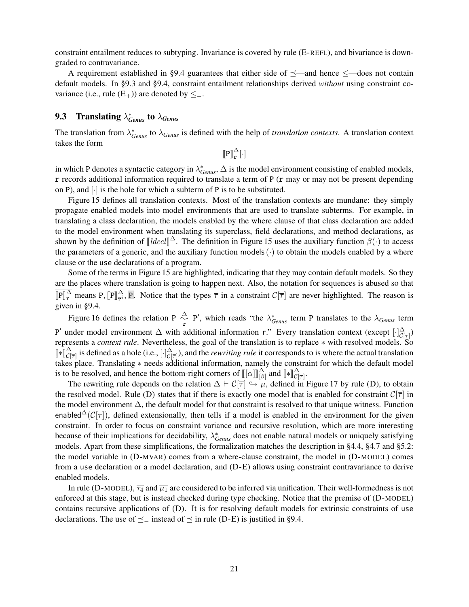constraint entailment reduces to subtyping. Invariance is covered by rule (E-REFL), and bivariance is downgraded to contravariance.

A requirement established in §9.4 guarantees that either side of  $\preceq$ —and hence  $\leq$ —does not contain default models. In [§9.3](#page-20-0) and [§9.4,](#page-22-0) constraint entailment relationships derived *without* using constraint covariance (i.e., rule  $(E_{+})$ ) are denoted by  $\leq$ .

# <span id="page-20-0"></span>**9.3** Translating  $\lambda_{Genus}^*$  to  $\lambda_{Genus}$

The translation from  $\lambda_{Genus}^*$  to  $\lambda_{Genus}$  is defined with the help of *translation contexts*. A translation context takes the form

> $\llbracket P \rrbracket_{r}^{\Delta}$  $\frac{\Delta}{r}[\cdot]$

in which P denotes a syntactic category in  $\lambda_{Genus}^*$ ,  $\Delta$  is the model environment consisting of enabled models,  $r$  records additional information required to translate a term of  $P(r)$  may or may not be present depending on P), and  $\lceil \cdot \rceil$  is the hole for which a subterm of P is to be substituted.

Figure 15 defines all translation contexts. Most of the translation contexts are mundane: they simply propagate enabled models into model environments that are used to translate subterms. For example, in translating a class declaration, the models enabled by the where clause of that class declaration are added to the model environment when translating its superclass, field declarations, and method declarations, as shown by the definition of  $[[decl]]^{\Delta}$ . The definition in Figure 15 uses the auxiliary function  $\beta(\cdot)$  to access the parameters of a generic and the auxiliary function models () to obtain the models enabled by a where the parameters of a generic, and the auxiliary function models  $(\cdot)$  to obtain the models enabled by a where clause or the use declarations of a program.

Some of the terms in Figure 15 are highlighted, indicating that they may contain default models. So they are the places where translation is going to happen next. Also, the notation for sequences is abused so that  $\llbracket P \rrbracket^{\Delta}_{r}$  means  $\overline{P}$ ,  $\llbracket P \rrbracket^{\Delta}_{\overline{r}^i}$  $\frac{\Delta}{\mathbf{F}}$ ,  $\overline{\mathbf{P}}$ . Notice that the types  $\overline{\tau}$  in a constraint  $\mathcal{C}[\overline{\tau}]$  are never highlighted. The reason is given in §9.4.

Figure 16 defines the relation P  $\stackrel{\Delta}{\sim}$  $\sum_{r}^{\infty} P'$ , which reads "the  $\lambda_{Genus}^*$  term P translates to the  $\lambda_{Genus}$  term P' under model environment  $\Delta$  with additional information r." Every translation context (except  $[\cdot]_{\mathcal{C}[\overline{\tau}]}^{\Delta}$ ) represents a *context rule*. Nevertheless, the goal of the translation is to replace ∗ with resolved models. So  $\begin{bmatrix} \ast \\ \mathcal{C} \end{bmatrix}$  $\alpha_{\mathcal{C}[\overline{\tau}]}$  is defined as a hole (i.e.,  $[\cdot]_{\mathcal{C}[\overline{\tau}]}^{\Delta}$ ), and the *rewriting rule* it corresponds to is where the actual translation takes place. Translating ∗ needs additional information, namely the constraint for which the default model is to be resolved, and hence the bottom-right corners of  $[[\alpha]]_{\beta}^{\Delta}$ <br>The rewriting rule depends on the relation  $\Delta \vdash \mathcal{C}^{[\pi]} \cap \mathcal{C}^{[\pi]}$  $\begin{bmatrix} \Delta \\ \beta \end{bmatrix}$  and  $\begin{bmatrix} * \\ \beta \end{bmatrix}$   $\begin{bmatrix} \Delta \\ C \end{bmatrix}$  $\frac{\Delta}{\mathcal{C}[\overline{\tau}]}.$ 

The rewriting rule depends on the relation  $\Delta \vdash C[\overline{\tau}] \leftrightarrow \mu$ , defined in Figure 17 by rule (D), to obtain the resolved model. Rule (D) states that if there is exactly one model that is enabled for constraint  $C[\overline{\tau}]$  in the model environment ∆, the default model for that constraint is resolved to that unique witness. Function enabled<sup> $\Delta$ </sup>(C[ $\overline{\tau}$ ]), defined extensionally, then tells if a model is enabled in the environment for the given constraint. In order to focus on constraint variance and recursive resolution, which are more interesting because of their implications for decidability,  $\lambda_{Genus}^*$  does not enable natural models or uniquely satisfying models. Apart from these simplifications, the formalization matches the description in [§4.4,](#page-8-0) [§4.7](#page-9-0) and [§5.2:](#page-11-0) the model variable in (D-MVAR) comes from a where-clause constraint, the model in (D-MODEL) comes from a use declaration or a model declaration, and (D-E) allows using constraint contravariance to derive enabled models.

In rule (D-MODEL),  $\overline{\tau_4}$  and  $\overline{\mu_1}$  are considered to be inferred via unification. Their well-formedness is not enforced at this stage, but is instead checked during type checking. Notice that the premise of (D-MODEL) contains recursive applications of (D). It is for resolving default models for extrinsic constraints of use declarations. The use of  $\preceq$  instead of  $\preceq$  in rule (D-E) is justified in §9.4.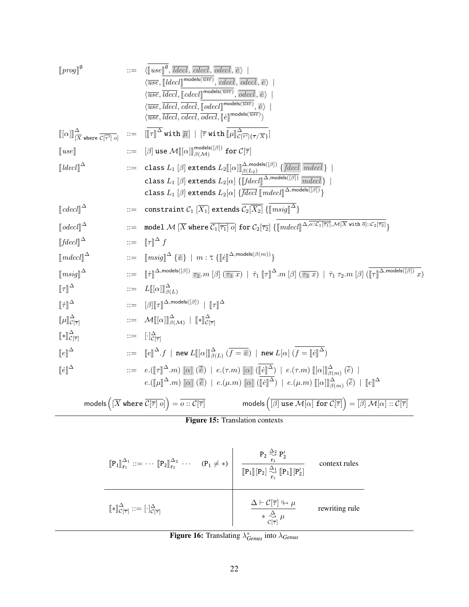∅ ∅ <sup>J</sup>prog<sup>K</sup> ::= <sup>h</sup>Juse<sup>K</sup> , ldecl , cdecl , odecl , e˙i | models(use) <sup>h</sup>use, <sup>J</sup>ldecl <sup>K</sup> , cdecl , odecl , e˙i | models(use) <sup>h</sup>use, ldecl, <sup>J</sup>cdecl <sup>K</sup> , odecl , e˙i | models(use) <sup>h</sup>use, ldecl, cdecl, <sup>J</sup>odecl <sup>K</sup> , e˙i | models(use) <sup>h</sup>use, ldecl, cdecl, odecl, <sup>J</sup>e˙<sup>K</sup> i ∆ ∆ ∆ <sup>J</sup>[α]<sup>K</sup> ::= [J<sup>τ</sup> <sup>K</sup> with <sup>µ</sup>] <sup>|</sup> [<sup>τ</sup> with <sup>J</sup>µ<sup>K</sup> ] C[τ 0 ]{τ/X} [X where C[τ 0 ] o] models([β]) <sup>J</sup>use<sup>K</sup> ::= [β] use <sup>M</sup>J[α]<sup>K</sup> for C[τ ] β(M) ∆ ∆,models([β]) <sup>J</sup>ldecl <sup>K</sup> ::= class <sup>L</sup><sup>1</sup> [β] extends <sup>L</sup><sup>2</sup>J[α]<sup>K</sup> {fdecl mdecl } | β(L2) <sup>∆</sup>,models([β]) mdecl } | class <sup>L</sup><sup>1</sup> [β] extends <sup>L</sup>2[α] {Jfdecl <sup>K</sup> <sup>∆</sup>,models([β])} class <sup>L</sup><sup>1</sup> [β] extends <sup>L</sup>2[α] {fdecl <sup>J</sup>mdecl <sup>K</sup> ∆ ∆ <sup>J</sup>cdecl <sup>K</sup> ::= constraint <sup>C</sup><sup>1</sup> [X1] extends <sup>C</sup>2[X2] {Jmsig<sup>K</sup> } ∆,o::C1[τ1],M[X with o]::C2[τ2] ∆ ::= model <sup>M</sup> [<sup>X</sup> where <sup>C</sup>1[τ1] <sup>o</sup>] for <sup>C</sup>2[τ2] {Jmdecl <sup>K</sup> <sup>J</sup>odecl <sup>K</sup> } ∆ ∆ <sup>J</sup>fdecl <sup>K</sup> ::= <sup>J</sup><sup>τ</sup> <sup>K</sup> f ∆ ∆ <sup>∆</sup>,models(β(m))} <sup>J</sup>mdecl <sup>K</sup> ::= <sup>J</sup>msig<sup>K</sup> {e˙ } | <sup>m</sup> : <sup>τ</sup> {Je˙<sup>K</sup> ∆ ∆,models([β]) ∆ ∆,models([β]) <sup>J</sup>msig<sup>K</sup> ::= <sup>J</sup>τ˙ <sup>K</sup> <sup>τ</sup><sup>2</sup> .m [β] (τ<sup>3</sup> <sup>x</sup>) <sup>|</sup> <sup>τ</sup>˙<sup>1</sup> <sup>J</sup><sup>τ</sup> <sup>K</sup> .m [β] (τ<sup>3</sup> <sup>x</sup>) <sup>|</sup> <sup>τ</sup>˙<sup>1</sup> <sup>τ</sup>2.m [β] (J<sup>τ</sup> <sup>K</sup> x) ∆ ∆ Jτ K ::= <sup>L</sup>J[α]<sup>K</sup> β(L) ∆ <sup>∆</sup>,models([β]) <sup>|</sup> <sup>J</sup><sup>τ</sup> <sup>K</sup> ∆ Jτ˙ K ::= [β]J<sup>τ</sup> <sup>K</sup> ∆ ∆ ∆ JµK ::= <sup>M</sup>J[α]<sup>K</sup> <sup>|</sup> <sup>J</sup>∗<sup>K</sup> C[τ] β(M) C[τ] ∆ ∆ J∗K ::= [·] C[τ] C[τ] ∆ ∆ ∆ ∆ .f <sup>|</sup> new <sup>L</sup>J[α]<sup>K</sup> (<sup>f</sup> <sup>=</sup> <sup>e</sup>˙) <sup>|</sup> new <sup>L</sup>[α] (<sup>f</sup> <sup>=</sup> <sup>J</sup>e˙<sup>K</sup> JeK ::= <sup>J</sup>e<sup>K</sup> ) β(L) ∆ ∆ ∆ ∆ Je˙K ::= e.(J<sup>τ</sup> <sup>K</sup> .m) [α] (e˙) <sup>|</sup> e.(τ.m) [α] (Je˙<sup>K</sup> ) <sup>|</sup> e.(τ.m) <sup>J</sup>[α]<sup>K</sup> (e˙) | β(m) ∆ ∆ ∆ ∆ e.(Jµ<sup>K</sup> .m) [α] (e˙) <sup>|</sup> e.(µ.m) [α] (Je˙<sup>K</sup> ) <sup>|</sup> e.(µ.m) <sup>J</sup>[α]<sup>K</sup> (e˙) <sup>|</sup> <sup>J</sup>e<sup>K</sup> β(m) models = o :: C[τ ] models [X where C[τ ] o] [β] use M[α] for C[τ ] = [β] M[α] :: C[τ ] Figure 15: Translation contexts ∆P2 ;2 P 0 2 r2

$$
\begin{array}{c}\n\left[\mathbb{P}_{1}\right]_{r_{1}}^{\Delta_{1}} ::= \cdots \left[\mathbb{P}_{2}\right]_{r_{2}}^{\Delta_{2}} \cdots \quad (P_{1} \neq *) \\
\hline\n\left[\mathbb{P}_{1}\right] \left[\mathbb{P}_{2}\right]_{\begin{subarray}{c}\lambda_{1} \\ r_{1} \\ r_{1} \end{subarray}}^{\Delta_{1}} \left[\mathbb{P}_{1}\right] \left[\mathbb{P}_{2}'\right] \\
\hline\n\left[\mathbb{P}_{1}\right] \left[\mathbb{P}_{2}'\right]_{\begin{subarray}{c}\lambda_{1} \\ r_{1} \\ r_{1} \end{subarray}}^{\Delta_{1}} \left[\mathbb{P}_{1}\right] \left[\mathbb{P}_{2}'\right] \\
\hline\n\left[\mathbb{P}_{1}\right] \left[\mathbb{P}_{2}'\right]_{\begin{subarray}{c}\lambda_{1} \\ r_{1} \\ r_{1} \end{subarray}}^{\Delta_{1}} \left[\mathbb{P}_{1}\right] \left[\mathbb{P}_{2}'\right] \\
\hline\n\left[\mathbb{P}_{1}\right] \left[\mathbb{P}_{2}'\right]_{\begin{subarray}{c}\lambda_{1} \\ r_{1} \\ r_{1} \end{subarray}}^{\Delta_{1}} \left[\mathbb{P}_{1}\right] \left[\mathbb{P}_{2}'\right] \\
\hline\n\left[\mathbb{P}_{1}\right] \left[\mathbb{P}_{2}'\right]_{\begin{subarray}{c}\lambda_{1} \\ r_{1} \\ r_{1} \end{subarray}}^{\Delta_{1}} \left[\mathbb{P}_{1}\right] \left[\mathbb{P}_{2}'\right] \\
\hline\n\left[\mathbb{P}_{1}\right] \left[\mathbb{P}_{2}'\right]_{\begin{subarray}{c}\lambda_{1} \\ r_{1} \\ r_{1} \end{subarray}}^{\Delta_{1}} \left[\mathbb{P}_{1}\right] \left[\mathbb{P}_{2}'\right] \\
\hline\n\left[\mathbb{P}_{1}\right] \left[\mathbb{P}_{2}'\right]_{\begin{subarray}{c}\lambda_{1} \\ r_{1} \\ r_{1} \end{subarray}}^{\Delta_{1}} \left[\mathbb{P}_{1}\right] \left[\mathbb{P}_{2}'\right]_{\begin{subarray}{c}\lambda_{1} \\ r_{1} \\ r_{1} \end{subarray}}^{\Delta_{1}} \left[\mathbb{P}_{1}\right] \left[\mathbb{P}_{2}'\right
$$

Figure 16: Translating λ ∗ *Genus* into λ*Genus*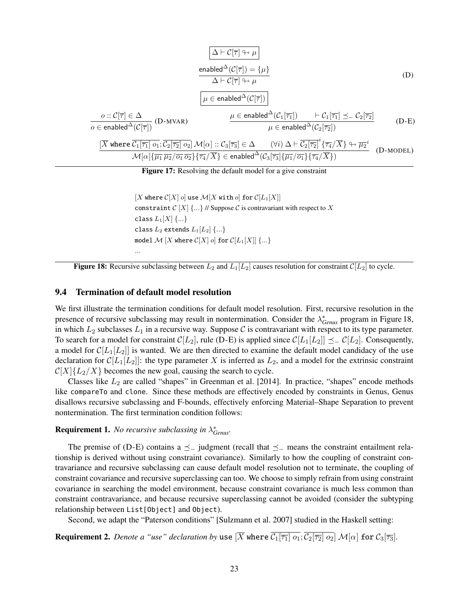$$
\frac{\Delta \vdash \mathcal{C}[\overline{\tau}] \leftrightarrow \mu}{\Delta \vdash \mathcal{C}[\overline{\tau}] \leftrightarrow \mu}
$$
\nenabled<sup>Δ</sup>(\mathcal{C}[\overline{\tau}]) = \{\mu\}

\n
$$
\frac{\Delta \vdash \mathcal{C}[\overline{\tau}] \leftrightarrow \mu}{\Delta \vdash \mathcal{C}[\overline{\tau}] \leftrightarrow \mu}
$$
\n(D)

\n
$$
\frac{\mu \in \text{enabeled}^{\Delta}(\mathcal{C}[\overline{\tau}])}{\mu \in \text{enabeled}^{\Delta}(\mathcal{C}_{1}[\overline{\tau}_{1}])} \downarrow \mathcal{C}_{1}[\overline{\tau}_{1}] \preceq \mathcal{C}_{2}[\overline{\tau}_{2}]}
$$
\n
$$
\frac{\mu \in \text{enabeled}^{\Delta}(\mathcal{C}_{1}[\overline{\tau}_{1}]) \downarrow \mathcal{C}_{1}[\overline{\tau}_{1}] \preceq \mathcal{C}_{2}[\overline{\tau}_{2}]}{\mu \in \text{enabeled}^{\Delta}(\mathcal{C}_{2}[\overline{\tau}_{2}])}
$$
\n
$$
[\overline{X} \text{ where } \overline{\mathcal{C}_{1}[\overline{\tau}_{1}] \circ_{1}}; \overline{\mathcal{C}_{2}[\overline{\tau}_{2}] \circ_{2}] \mathcal{M}[\alpha] :: \mathcal{C}_{3}[\overline{\tau}_{3}] \in \Delta \qquad (\forall i) \Delta \vdash \overline{\mathcal{C}_{2}[\overline{\tau}_{2}]}^{i} \{\overline{\tau}_{4}/\overline{X}\} \leftrightarrow \overline{\mu_{2}}^{i}
$$
\n
$$
\mathcal{M}[\alpha] \{\overline{\mu_{1}} \overline{\mu_{2}} / \overline{\sigma_{1}} \overline{\sigma_{2}}\} \{\overline{\tau_{4}} / \overline{X}\} \in \text{enabled}^{\Delta}(\mathcal{C}_{3}[\overline{\tau_{3}}] \{\overline{\mu_{1}} / \overline{\sigma_{1}}\} \{\overline{\tau_{4}} / \overline{X}\})
$$
\n(D-MODEL)

Figure 17: Resolving the default model for a give constraint

[X where  $C[X]$  o] use  $\mathcal{M}[X$  with o] for  $\mathcal{C}[L_1[X]]$ constraint  $C[X]$  {...} // Suppose C is contravariant with respect to X class  $L_1[X]$   $\{...\}$ class  $L_2$  extends  $L_1[L_2]$  {...} model  $\mathcal{M}[X]$  where  $\mathcal{C}[X]$  of for  $\mathcal{C}[L_1[X]]$   $\{...\}$ 

Figure 18: Recursive subclassing between  $L_2$  and  $L_1[L_2]$  causes resolution for constraint  $\mathcal{C}[L_2]$  to cycle.

#### <span id="page-22-0"></span>9.4 Termination of default model resolution

...

We first illustrate the termination conditions for default model resolution. First, recursive resolution in the presence of recursive subclassing may result in nontermination. Consider the  $\lambda_{Genus}^*$  program in Figure 18, in which  $L_2$  subclasses  $L_1$  in a recursive way. Suppose C is contravariant with respect to its type parameter. To search for a model for constraint  $\mathcal{C}[L_2]$ , rule (D-E) is applied since  $\mathcal{C}[L_1[L_2]] \preceq_{\mathcal{C}} \mathcal{C}[L_2]$ . Consequently, a model for  $\mathcal{C}[L_1[L_2]]$  is wanted. We are then directed to examine the default model candidacy of the use declaration for  $\mathcal{C}[L_1[L_2]]$ : the type parameter X is inferred as  $L_2$ , and a model for the extrinsic constraint  $\mathcal{C}[X]\{L_2/X\}$  becomes the new goal, causing the search to cycle.

Classes like  $L_2$  are called "shapes" in [Greenman et al.](#page-34-7) [\[2014\]](#page-34-7). In practice, "shapes" encode methods like compareTo and clone. Since these methods are effectively encoded by constraints in Genus, Genus disallows recursive subclassing and F-bounds, effectively enforcing Material–Shape Separation to prevent nontermination. The first termination condition follows:

# <span id="page-22-2"></span>**Requirement 1.** *No recursive subclassing in*  $\lambda_{Genus}^*$ .

The premise of (D-E) contains a  $\leq$  judgment (recall that  $\leq$  means the constraint entailment relationship is derived without using constraint covariance). Similarly to how the coupling of constraint contravariance and recursive subclassing can cause default model resolution not to terminate, the coupling of constraint covariance and recursive superclassing can too. We choose to simply refrain from using constraint covariance in searching the model environment, because constraint covariance is much less common than constraint contravariance, and because recursive superclassing cannot be avoided (consider the subtyping relationship between List[Object] and Object).

Second, we adapt the "Paterson conditions" [\[Sulzmann et al.](#page-35-14) [2007\]](#page-35-14) studied in the Haskell setting:

<span id="page-22-1"></span>**Requirement 2.** *Denote a "use" declaration by* use  $[\overline{X}$  where  $\overline{C_1}[\overline{\tau_1}]$   $o_1$ ;  $\overline{C_2}[\overline{\tau_2}]$   $o_2$ ]  $\mathcal{M}[\alpha]$  for  $\mathcal{C}_3[\overline{\tau_3}]$ .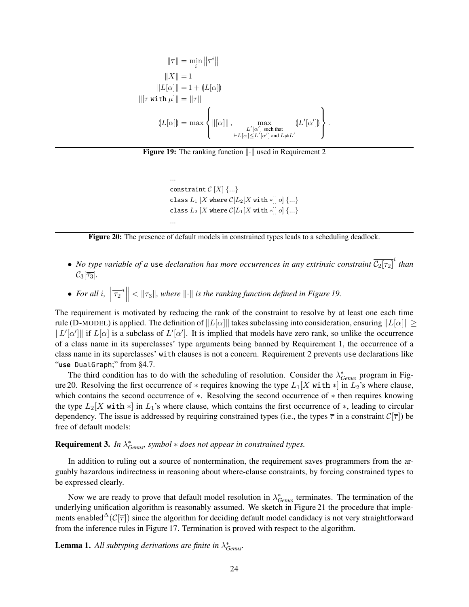$$
\|\overline{\tau}\| = \min_{i} \|\overline{\tau}^{i}\|
$$
  
\n
$$
\|X\| = 1
$$
  
\n
$$
\|L[\alpha]\| = 1 + \langle L[\alpha]\rangle
$$
  
\n
$$
\|[\overline{\tau} \text{ with } \overline{\mu}]\| = \|\overline{\tau}\|
$$
  
\n
$$
\langle L[\alpha]\rangle = \max \left\{\|[\alpha]\|, \max_{\substack{L'[\alpha'] \text{ such that} \\ |L[\alpha'] \le L'[\alpha'] \text{ and } L \ne L'}} \langle L'[\alpha']\rangle \right\}.
$$

Figure 19: The ranking function  $\|\cdot\|$  used in Requirement [2](#page-22-1)

constraint  $C[X]$  {...} class  $L_1$   $[X$  where  $\mathcal{C}[L_2[X \text{ with } *]]$   $o]$   $\{...\}$ class  $L_2$  [X where  $\mathcal{C}[L_1[X \text{ with } *]]$  o]  $\{...\}$ ...

Figure 20: The presence of default models in constrained types leads to a scheduling deadlock.

- *No type variable of a* use *declaration has more occurrences in any extrinsic constraint*  $\overline{C_2[\overline{\tau_2}]}^i$  than  $\mathcal{C}_3[\overline{\tau_3}]$ *.*
- For all i,  $\left\|\overline{\overline{\tau_2}}^i\right\| < \left\|\overline{\tau_3}\right\|$ , where  $\|\cdot\|$  is the ranking function defined in Figure 19.

...

The requirement is motivated by reducing the rank of the constraint to resolve by at least one each time rule (D-MODEL) is applied. The definition of  $||L[\alpha]||$  takes subclassing into consideration, ensuring  $||L[\alpha]|| \ge$  $||L'[\alpha']||$  if  $L[\alpha]$  is a subclass of  $L'[\alpha']$ . It is implied that models have zero rank, so unlike the occurrence of a class name in its superclasses' type arguments being banned by Requirement [1,](#page-22-2) the occurrence of a class name in its superclasses' with clauses is not a concern. Requirement [2](#page-22-1) prevents use declarations like "**use** DualGraph;" from §4.7.

The third condition has to do with the scheduling of resolution. Consider the  $\lambda_{Genus}^*$  program in Figure 20. Resolving the first occurrence of  $*$  requires knowing the type  $L_1[X$  with  $*|$  in  $L_2$ 's where clause, which contains the second occurrence of ∗. Resolving the second occurrence of ∗ then requires knowing the type  $L_2[X$  with  $*]$  in  $L_1$ 's where clause, which contains the first occurrence of  $*$ , leading to circular dependency. The issue is addressed by requiring constrained types (i.e., the types  $\bar{\tau}$  in a constraint  $\mathcal{C}[\bar{\tau}]$ ) be free of default models:

# **Requirement 3.** In  $\lambda_{Genus}^*$ , symbol  $*$  does not appear in constrained types.

In addition to ruling out a source of nontermination, the requirement saves programmers from the arguably hazardous indirectness in reasoning about where-clause constraints, by forcing constrained types to be expressed clearly.

Now we are ready to prove that default model resolution in  $\lambda_{Genus}^*$  terminates. The termination of the underlying unification algorithm is reasonably assumed. We sketch in Figure 21 the procedure that implements enabled<sup> $\Delta(\mathcal{C}[\overline{\tau}])$  since the algorithm for deciding default model candidacy is not very straightforward</sup> from the inference rules in Figure 17. Termination is proved with respect to the algorithm.

<span id="page-23-0"></span>**Lemma 1.** All subtyping derivations are finite in  $\lambda_{Genus}^*$ .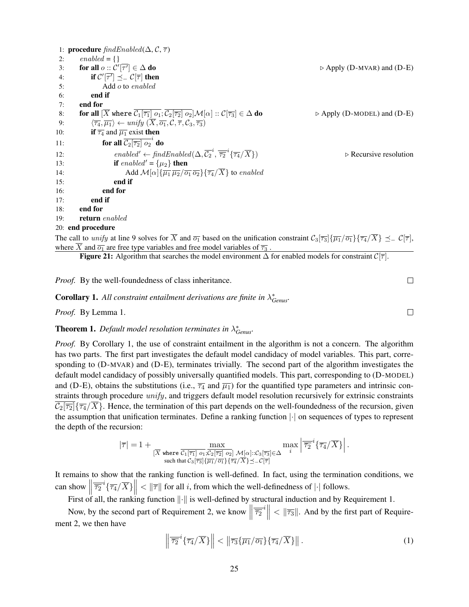<span id="page-24-0"></span>1: **procedure**  $findEnable \triangle(\Delta, \mathcal{C}, \overline{\tau})$ 2:  $enabeled = \{\}$ 3: for all  $o::\mathcal{C}'[\overline{\tau'}]$  $\triangleright$  Apply (D-MVAR) and (D-E) 4: **if**  $\mathcal{C}'[\overline{\tau'}] \preceq_{-} \mathcal{C}[\overline{\tau}]$  then 5: Add o to enabled 6: end if 7: end for 8: **for all**  $[\overline{X}]$  where  $\overline{C_1[\overline{\tau_1}] \cdot o_1}; \overline{C_2[\overline{\tau_2}] \cdot o_2}$   $\mathcal{M}[\alpha]$  ::  $\mathcal{C}[\overline{\tau_3}] \in \Delta$  **do**  $\rightarrow$  Apply (D-MODEL) and (D-E) 9:  $\langle \overline{\tau_4}, \overline{\mu_1} \rangle \leftarrow \text{unify } (\overline{X}, \overline{\overline{o_1}}, \mathcal{C}, \overline{\tau}, \mathcal{C}_3, \overline{\tau_3})$ 10: **if**  $\overline{\tau_4}$  and  $\overline{\mu_1}$  exist then 11: for all  $\overline{C_2[\overline{\tau_2}]\ o_2}^i$  do 12: enabled' ← findEnabled( $\Delta, \overline{C_2}^i, \overline{z_2}^i$  $\triangleright$  Recursive resolution 13: **if** enabled<sup>'</sup> = { $\mu_2$ } **then** 14: Add  $\mathcal{M}[\alpha]\{\overline{\mu_1}\,\overline{\mu_2}/\overline{\sigma_1}\,\overline{\sigma_2}\}\{\overline{\tau_4}/\overline{X}\}\$  to enabled 15: end if 16: end for 17: end if 18: end for 19: return enabled 20: end procedure

The call to unify at line [9](#page-24-0) solves for  $\overline{X}$  and  $\overline{o_1}$  based on the unification constraint  $C_3[\overline{\tau_3}]\{\overline{\mu_1}/\overline{o_1}\}\{\overline{\tau_4}/\overline{X}\}\preceq_{-}C[\overline{\tau}],$ where X and  $\overline{o_1}$  are free type variables and free model variables of  $\overline{\tau_3}$ .

Figure 21: Algorithm that searches the model environment  $\Delta$  for enabled models for constraint  $\mathcal{C}[\overline{\tau}]$ .

*Proof.* By the well-foundedness of class inheritance.

<span id="page-24-1"></span>**Corollary 1.** All constraint entailment derivations are finite in  $\lambda_{Genus}^*$ .

*Proof.* By Lemma [1.](#page-23-0)

**Theorem 1.** Default model resolution terminates in  $\lambda_{Genus}^*$ .

*Proof.* By Corollary [1,](#page-24-1) the use of constraint entailment in the algorithm is not a concern. The algorithm has two parts. The first part investigates the default model candidacy of model variables. This part, corresponding to (D-MVAR) and (D-E), terminates trivially. The second part of the algorithm investigates the default model candidacy of possibly universally quantified models. This part, corresponding to (D-MODEL) and (D-E), obtains the substitutions (i.e.,  $\overline{\tau_4}$  and  $\overline{\mu_1}$ ) for the quantified type parameters and intrinsic constraints through procedure *unify*, and triggers default model resolution recursively for extrinsic constraints  $C_2[\overline{\tau_2}]\{\overline{\tau_4}/X\}$ . Hence, the termination of this part depends on the well-foundedness of the recursion, given the assumption that unification terminates. Define a ranking function  $|\cdot|$  on sequences of types to represent the depth of the recursion:

$$
|\overline{\tau}|=1+\max_{[\overline{X}\text{ where }\overline{\mathcal{C}_1[\overline{\tau_1}]}\text{ }o_1;\overline{\mathcal{C}_2[\overline{\tau_2}]}\text{ }o_2]}\max_{\mathcal{M}[\alpha]::\mathcal{C}_3[\overline{\tau_3}]\in\Delta} \max_i\left|\overline{\overline{\tau_2}}^i\{\overline{\tau_4}/\overline{X}\}\right|.
$$
such that  $\mathcal{C}_3[\overline{\tau_3}]\{\overline{\mu_1}/\overline{o_1}\}\{\overline{\tau_4}/\overline{X}\}\preceq_{-\mathcal{C}[\overline{\tau}]}$ 

It remains to show that the ranking function is well-defined. In fact, using the termination conditions, we can show  $\left\| \overline{\overline{\tau_2}}^i \{ \overline{\tau_4} / \overline{X} \} \right\| < \| \overline{\tau} \|$  for all i, from which the well-definedness of  $|\cdot|$  follows.

First of all, the ranking function  $\|\cdot\|$  is well-defined by structural induction and by Requirement [1.](#page-22-2)

Now, by the second part of Requirement [2,](#page-22-1) we know  $\left\|\overline{\overline{\tau_2}}^i\right\| < \left\|\overline{\overline{\tau_3}}\right\|$ . And by the first part of Requirement [2,](#page-22-1) we then have

$$
\left\|\overline{\overline{\tau_2}}^i\{\overline{\tau_4}/\overline{X}\}\right\| < \left\|\overline{\tau_3}\{\overline{\mu_1}/\overline{\sigma_1}\}\{\overline{\tau_4}/\overline{X}\}\right\|.
$$
 (1)

 $\Box$ 

<span id="page-24-2"></span> $\Box$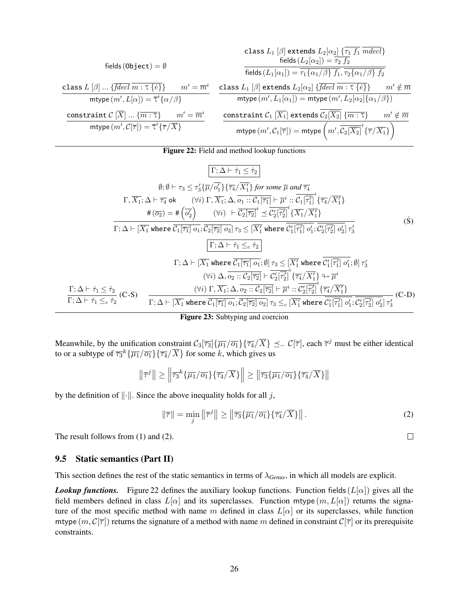| class $L_1$ $\lbrack \beta \rbrack$ extends $L_2[\alpha_2]$ $\lbrack \overline{\tau_1}$ $\overline{f_1}$ $mdec\overline{l}$ } |                                                                                                                         |                                                                                                                         |                          |
|-------------------------------------------------------------------------------------------------------------------------------|-------------------------------------------------------------------------------------------------------------------------|-------------------------------------------------------------------------------------------------------------------------|--------------------------|
| fields (Object) = $\emptyset$                                                                                                 | fields $(L_2[\alpha_2]) = \overline{\tau_2}$ $\overline{f_2}$                                                           |                                                                                                                         |                          |
| class $L$ $\lbrack \beta \rbrack$ ... $\{ \overline{fdec\overline{l} m : \tau \{ \hat{e} \} } \}$                             | $m' = \overline{m}^i$                                                                                                   | class $L_1$ $\lbrack \beta \rbrack$ extends $L_2[\alpha_2]$ $\{ \overline{fdec\overline{l} m : \tau \{ \hat{e} \} } \}$ | $m' \notin \overline{m}$ |
| antype $(m', L[\alpha]) = \overline{\tau}^i \{ \alpha/\beta \}$                                                               | class $L_1$ $\lbrack \beta \rbrack$ extends $L_2[\alpha_2]$ $\{ \overline{fdec\overline{l} m : \tau \{ \hat{e} \} } \}$ | $m' \notin \overline{m}$                                                                                                |                          |
| constraint $C$ $\lbrack \overline{X} \rbrack$ ... $\{ \overline{m : \tau \}}$                                                 | $m' = \overline{m}^i$                                                                                                   | constraint $C_1$ $\lbrack \overline{X}_1$ extends $C_2$ $\lbrack \overline{X}_2$ $\{ \overline{m : \tau \}}$            | $m' \notin \overline{m}$ |
| antype $(m', C[\overline{\tau}]) = \overline{\tau}^i \{ \overline{\tau}/\overline{X} \}$                                      | constraint $C_1$ $\lbrack \overline{X}_1$ extends $C_2$ $\lbrack \overline{X}_2$ $\{ \overline{m : \tau \}}$            |                                                                                                                         |                          |

Figure 22: Field and method lookup functions

$$
\frac{\Gamma; \Delta \vdash \dot{\tau}_{1} \leq \dot{\tau}_{2}}{\Gamma; \Delta \vdash \tau_{3} \leq \tau'_{3} \{\overline{\mu}/\overline{\sigma'_{1}}\} \{\overline{\tau_{4}}/\overline{X'_{1}}\} \text{ for some } \overline{\mu} \text{ and } \overline{\tau_{4}}}
$$
\n
$$
\Gamma, \overline{X_{1}}; \Delta \vdash \overline{\tau_{4}} \text{ ok } (\forall i) \Gamma, \overline{X_{1}}; \Delta, \overline{o_{1}} :: C_{1}[\overline{\tau_{1}}] \vdash \overline{\mu}^{i} :: C_{1}[\overline{\tau_{1}}^{i}] \{\overline{\tau_{4}}/\overline{X'_{1}}\}
$$
\n
$$
\#(\overline{o_{2}}) = \#(\overline{o_{2}}^{'}) (\forall i) \vdash \overline{C_{2}[\overline{\tau_{2}}]}^{i} \leq C_{2}[\overline{\tau_{2}}^{i}] \{\overline{X_{1}}/\overline{X'_{1}}\}
$$
\n
$$
\frac{\Gamma; \Delta \vdash [\overline{X_{1}} \text{ where } \overline{C_{1}[\overline{\tau_{1}}] o_{1}; C_{2}[\overline{\tau_{2}}] o_{2}] \tau_{3} \leq [\overline{X'_{1}} \text{ where } \overline{C'_{1}[\overline{\tau_{1}}^{'}] o'_{1}; C_{2}[\overline{\tau_{2}}^{'}] o'_{2}] \tau'_{3}}}{[\Gamma; \Delta \vdash \overline{\tau_{1}} \text{ where } \overline{C_{1}[\overline{\tau_{1}}] o_{1}}; \emptyset] \tau_{3} \leq [\overline{X'_{1}} \text{ where } \overline{C'_{1}[\overline{\tau_{1}}^{'}] o'_{1}}; \emptyset] \tau'_{3}}
$$
\n
$$
(\forall i) \Delta, \overline{o_{2} :: C_{2}[\overline{\tau_{2}}]} \vdash \overline{C'_{2}[\overline{\tau_{2}}]}^{i} \{\overline{\tau_{4}}/\overline{X'_{1}}\} \leftrightarrow \overline{\mu}^{i}
$$
\n
$$
\frac{\Gamma; \Delta \vdash \dot{\tau}_{1} \leq \dot{\tau}_{2}}{\Gamma; \Delta \vdash \dot{\tau}_{1} \leq c \tau_{2}}
$$
\n
$$
(\forall i) \Gamma, \overline{X_{1}}; \
$$

Figure 23: Subtyping and coercion

Meanwhile, by the unification constraint  $C_3[\overline{\tau_3}]\{\overline{\mu_1}/\overline{\sigma_1}\}\{\overline{\tau_4}/\overline{X}\}\preceq_{-} C[\overline{\tau}]$ , each  $\overline{\tau}^j$  must be either identical to or a subtype of  $\overline{\tau_3}^k \{\overline{\mu_1}/\overline{\sigma_1}\} \{\overline{\tau_4}/\overline{X}\}$  for some  $k$ , which gives us

$$
\left\|\overline{\tau}^{j}\right\| \ge \left\|\overline{\tau_{3}}^{k}\{\overline{\mu_{1}}/\overline{\sigma_{1}}\}\{\overline{\tau_{4}}/\overline{X}\}\right\| \ge \left\|\overline{\tau_{3}}\{\overline{\mu_{1}}/\overline{\sigma_{1}}\}\{\overline{\tau_{4}}/\overline{X}\}\right\|
$$

by the definition of  $\|\cdot\|$ . Since the above inequality holds for all j,

$$
\|\overline{\tau}\| = \min_{j} \|\overline{\tau}^{j}\| \ge \|\overline{\tau}_{3}\{\overline{\mu}_{1}/\overline{\sigma}_{1}\}\{\overline{\tau}_{4}/\overline{X}\}\|.
$$
 (2)

The result follows from [\(1\)](#page-24-2) and [\(2\)](#page-25-0).

### 9.5 Static semantics (Part II)

This section defines the rest of the static semantics in terms of  $\lambda_{Genus}$ , in which all models are explicit.

*Lookup functions.* Figure 22 defines the auxiliary lookup functions. Function fields  $(L[\alpha])$  gives all the field members defined in class  $L[\alpha]$  and its superclasses. Function mtype  $(m, L[\alpha])$  returns the signature of the most specific method with name m defined in class  $L[\alpha]$  or its superclasses, while function mtype  $(m, \mathcal{C}[\overline{\tau}])$  returns the signature of a method with name m defined in constraint  $\mathcal{C}[\overline{\tau}]$  or its prerequisite constraints.

<span id="page-25-0"></span> $\Box$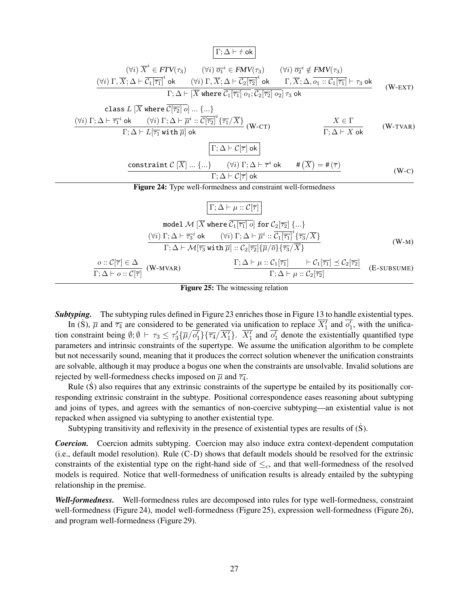$$
\frac{\Gamma; \Delta \vdash \dot{\tau} \text{ ok}}{(\forall i) \Gamma, \overline{X}; \Delta \vdash \overline{C_{1}[\overline{\tau_{1}}]^{i}} \text{ ok} \quad (\forall i) \overline{\sigma_{1}}^{i} \in FMV(\tau_{3}) \quad (\forall i) \overline{\sigma_{2}}^{i} \notin FMV(\tau_{3})
$$
\n
$$
\frac{(\forall i) \Gamma, \overline{X}; \Delta \vdash \overline{C_{1}[\overline{\tau_{1}}]^{i}} \text{ ok} \quad (\forall i) \Gamma, \overline{X}; \Delta \vdash \overline{C_{2}[\overline{\tau_{2}}]}^{i} \text{ ok} \quad \Gamma, \overline{X}; \Delta, \overline{o_{1} :: C_{1}[\overline{\tau_{1}}]} \vdash \tau_{3} \text{ ok}} \quad (\text{W-EXT})
$$
\n
$$
\Gamma; \Delta \vdash \overline{C[\overline{\tau_{2}}]} \text{ol} \dots \{\ldots\}
$$
\n
$$
\frac{(\forall i) \Gamma; \Delta \vdash \overline{\tau_{1}}^{i} \text{ ok} \quad (\forall i) \Gamma; \Delta \vdash \mu^{i} :: \overline{C[\overline{\tau_{2}}]}^{i} \{\overline{\tau_{1}}/\overline{X}\}}{(\text{W-CT})} (\text{W-CT}) \quad \overline{\tau_{1}} \Delta \vdash X \text{ ok}}
$$
\n
$$
\frac{\Gamma; \Delta \vdash C[\overline{\tau_{1}} \text{ with } \overline{\mu} \text{ ok}}{\Gamma; \Delta \vdash C[\overline{\tau_{1}}] \text{ ok}}
$$
\n
$$
\frac{\Gamma; \Delta \vdash C[\overline{\tau_{1}}] \text{ ok}}{\Gamma; \Delta \vdash \overline{C}[\overline{\tau_{1}}] \text{ ok}}
$$
\n
$$
\frac{\Gamma; \Delta \vdash \overline{C[\tau_{1}} \text{ ok}}{\Gamma; \Delta \vdash \mu : C[\overline{\tau_{1}}]} \text{ok}}
$$
\n
$$
\frac{\Gamma; \Delta \vdash \mu :: \overline{C[\tau_{1}}]}{\Gamma; \Delta \vdash \mu :: \overline{C}[\overline{\tau_{1}}]} \text{mod } \overline{\tau_{1}} \text{ for } C_{2}[\overline{\tau_{2}}]} \{\ldots\}
$$
\n
$$
\frac{(\forall i) \Gamma; \Delta \vdash \overline{\tau_{3}}^{i
$$

Figure 25: The witnessing relation

*Subtyping.* The subtyping rules defined in Figure 23 enriches those in Figure 13 to handle existential types.

In (S),  $\overline{\mu}$  and  $\overline{\tau_4}$  are considered to be generated via unification to replace  $\overline{X'_1}$  and  $\overline{o'_1}$ , with the unification constraint being  $\emptyset$ ;  $\emptyset \vdash \tau_3 \leq \tau'_3 \{\overline{\mu}/\overline{o'_1}\}\{\overline{\tau_4}/\overline{X'_1}\}$ .  $\overline{X'_1}$  and  $\overline{o'_1}$  denote the existentially quantified type parameters and intrinsic constraints of the supertype. We assume the unification algorithm to be complete but not necessarily sound, meaning that it produces the correct solution whenever the unification constraints are solvable, although it may produce a bogus one when the constraints are unsolvable. Invalid solutions are rejected by well-formedness checks imposed on  $\overline{\mu}$  and  $\overline{\tau_4}$ .

Rule  $(S)$  also requires that any extrinsic constraints of the supertype be entailed by its positionally corresponding extrinsic constraint in the subtype. Positional correspondence eases reasoning about subtyping and joins of types, and agrees with the semantics of non-coercive subtyping—an existential value is not repacked when assigned via subtyping to another existential type.

Subtyping transitivity and reflexivity in the presence of existential types are results of  $(S)$ .

*Coercion.* Coercion admits subtyping. Coercion may also induce extra context-dependent computation (i.e., default model resolution). Rule (C-D) shows that default models should be resolved for the extrinsic constraints of the existential type on the right-hand side of  $\leq_c$ , and that well-formedness of the resolved models is required. Notice that well-formedness of unification results is already entailed by the subtyping relationship in the premise.

*Well-formedness.* Well-formedness rules are decomposed into rules for type well-formedness, constraint well-formedness (Figure 24), model well-formedness (Figure 25), expression well-formedness (Figure 26), and program well-formedness (Figure 29).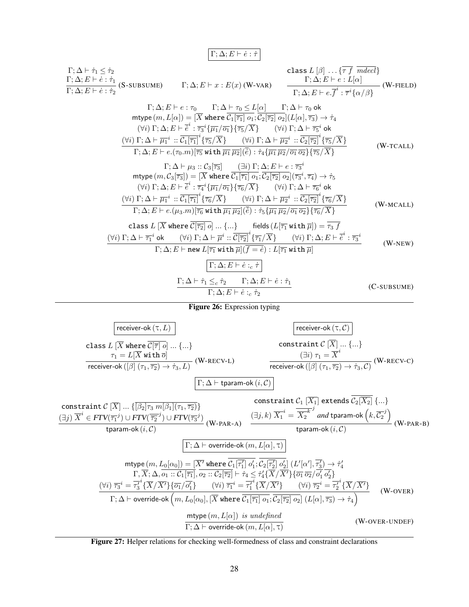$\Gamma; \Delta; E \vdash \dot{e} : \dot{\tau}$ 



Figure 27: Helper relations for checking well-formedness of class and constraint declarations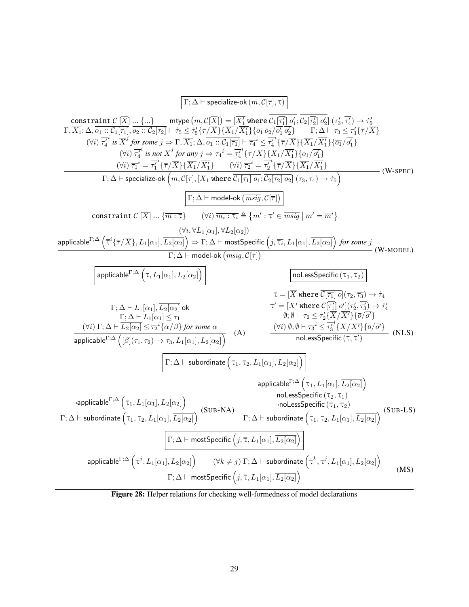Γ; ∆ ` specialize-ok (m, C[τ ], τ) constraint C [X] ... {...} mtype m, C[X] = [X<sup>0</sup> 1 where C1[τ 0 1 ] o 0 1 ; C2[τ 0 2 ] o 0 2 ] (τ 0 3 , τ 0 4 ) → τ˙ 0 5 Γ, X1; ∆, o<sup>1</sup> :: C1[τ1], o<sup>2</sup> :: C2[τ2] ` τ˙<sup>5</sup> ≤ τ˙ 0 5{τ /X}{X1/X<sup>0</sup> 1 }{o<sup>1</sup> o2/o 0 1 o 0 2 } Γ; ∆ ` τ<sup>3</sup> ≤ τ 0 <sup>3</sup>{τ /X} (∀i) τ 0 4 i *is* X j *for some* j ⇒ Γ, X1; ∆, o<sup>1</sup> :: C1[τ1] ` τ<sup>4</sup> <sup>i</sup> ≤ τ 0 4 i {τ /X}{X1/X<sup>0</sup> 1 }{o1/o 0 1 } (∀i) τ 0 4 i *is not* X j *for any* j ⇒ τ<sup>4</sup> <sup>i</sup> = τ 0 4 i {τ /X}{X1/X<sup>0</sup> 1 }{o1/o 0 1 } (∀i) τ<sup>1</sup> <sup>i</sup> = τ 0 1 i {τ /X}{X1/X<sup>0</sup> 1 } (∀i) τ<sup>2</sup> <sup>i</sup> = τ 0 2 i {τ /X}{X1/X<sup>0</sup> 1 } Γ; ∆ ` specialize-ok m, C[τ ], [X<sup>1</sup> where C1[τ1] o1; C2[τ2] o2] (τ3, τ4) → τ˙<sup>5</sup> (W-SPEC) Γ; ∆ ` model-ok msig, C[τ ] constraint C [X] ... {m : τ} (∀i) m<sup>i</sup> : τ<sup>i</sup> , m0 : τ <sup>0</sup> ∈ msig <sup>m</sup><sup>0</sup> <sup>=</sup> <sup>m</sup><sup>i</sup> (∀i, ∀L1[α1], ∀L2[α2]) applicableΓ;∆ τ i {τ /X}, L1[α1],L2[α2] ⇒ Γ; ∆ ` mostSpecific j, τ<sup>i</sup> , L1[α1],L2[α2] *for some* j Γ; ∆ ` model-ok msig, C[τ ] (W-MODEL) applicableΓ;∆ τ, L1[α1],L2[α2] noLessSpecific (τ1, τ2) Γ; ∆ ` L1[α1],L2[α2] ok Γ; ∆ ` L1[α1] ≤ τ<sup>1</sup> (∀i) Γ; ∆ ` L2[α2] ≤ τ<sup>2</sup> i {α/β} *for some* α applicableΓ;∆ [β](τ1, τ2) → τ˙3, L1[α1],L2[α2] (A) τ = [X where C[τ1] o](τ2, τ3) → τ˙<sup>4</sup> τ <sup>0</sup> = [X<sup>0</sup> where C[τ 0 1 ] o 0 ](τ 0 2 , τ 0 3 ) → τ˙ 0 4 ∅; ∅ ` τ<sup>2</sup> ≤ τ 0 <sup>2</sup>{X/X<sup>0</sup>}{o/o 0} (∀i) ∅; ∅ ` τ<sup>3</sup> <sup>i</sup> ≤ τ 0 3 i {X/X<sup>0</sup>}{o/o 0} noLessSpecific (τ, τ 0 ) (NLS) Γ; ∆ ` subordinate τ1, τ2, L1[α1],L2[α2] ¬applicableΓ;∆ τ1, L1[α1],L2[α2] Γ; ∆ ` subordinate τ1, τ2, L1[α1],L2[α2] (SUB-NA) applicableΓ;∆ τ1, L1[α1],L2[α2] noLessSpecific (τ2, τ1) ¬noLessSpecific (τ1, τ2) Γ; ∆ ` subordinate τ1, τ2, L1[α1],L2[α2] (SUB-LS) Γ; ∆ ` mostSpecific j, τ, L1[α1],L2[α2] applicableΓ;∆ τ j , L1[α1],L2[α2] (∀k 6= j) Γ; ∆ ` subordinate τ k , τ j , L1[α1],L2[α2] Γ; ∆ ` mostSpecific j, τ, L1[α1],L2[α2] (MS)

┑

 $\Gamma$ 

Figure 28: Helper relations for checking well-formedness of model declarations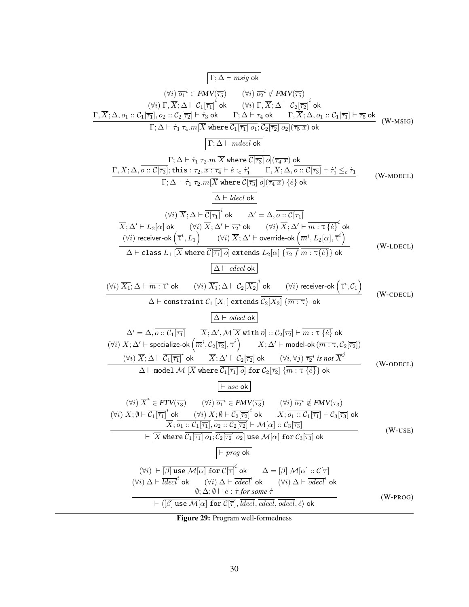$$
\frac{[\Gamma; \Delta+msig\phi k]}{\Gamma, \overline{X}; \Delta, \overline{o_1} : C_1[\overline{\pi_1}], o_{\overline{X}} \quad (\forall i) \overline{o_2}^i \notin FMV(\overline{\pi_5})
$$
\n
$$
\Gamma, \overline{X}; \Delta, \overline{o_1} : C_1[\overline{\pi_1}], o_2 : C_2[\overline{\pi_2}] \vdash \tau_3 \text{ ok } \Gamma; \Delta \vdash \tau_4 \text{ ok } \Gamma, \overline{X}; \Delta, \overline{o_1} : C_1[\overline{\pi_1}] \vdash \overline{\pi_5} \text{ ok } (\text{W-MSTG})
$$
\n
$$
\Gamma, \Delta \vdash \tau_3 \tau_4.m[\overline{X} \text{ where } \overline{C_1}[\overline{\pi_1}] o_1; C_2[\overline{\pi_2}] o_2](\overline{\tau_3} \vdash \text{ ok } (\text{W-MSTG})
$$
\n
$$
\frac{[\Gamma; \Delta \vdash \pi_3 \tau_4.m[\overline{X} \text{ where } \overline{C_1}[\overline{\pi_3}] o_2](\overline{\tau_3} \urash \text{ok } (\text{W-MDFC})]
$$
\n
$$
\frac{[\Gamma; \Delta \vdash \pi_4 \tau_2.m[\overline{X} \text{ where } \overline{C_1}[\overline{\pi_3}] o_2](\overline{\tau_4} \urash \text{ok } (\text{W-MDFC})]
$$
\n
$$
\frac{[\Gamma; \Delta \vdash \pi_4 \tau_2.m[\overline{X} \text{ where } \overline{C_1}[\overline{\pi_3}] o_2](\overline{\tau_4} \urash \text{ck } \overline{\text{N}}] \vdash \overline{\tau'_1} \leq_{\text{c}} \overline{\tau_1}
$$
\n
$$
\frac{[\Gamma; \Delta \vdash \pi_4 \tau_2.m[\overline{X} \text{ where } \overline{C_1}[\overline{\pi_3}] o_2](\overline{\tau_4} \urash \text{ck } \overline{\text{N}}] \vdash \overline{\tau'_1} \leq_{\text{c}} \overline{\text{N}}]
$$
\n
$$
\frac{[\Gamma; \Delta \vdash \pi_4 \tau_2.m[\overline{X} \text{ where } \overline{C_1}[\over
$$

Figure 29: Program well-formedness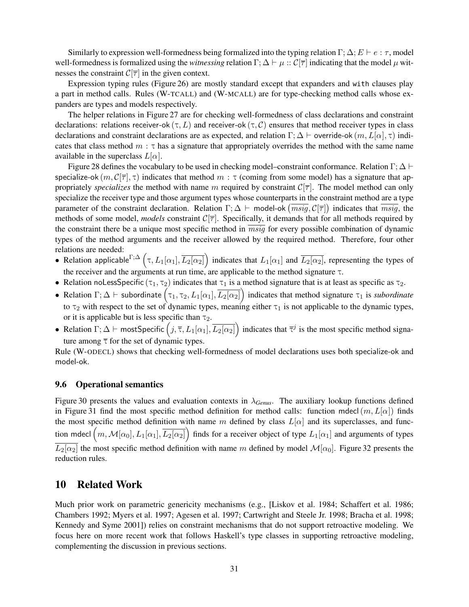Similarly to expression well-formedness being formalized into the typing relation  $\Gamma$ ;  $\Delta$ ;  $E \vdash e : \tau$ , model well-formedness is formalized using the *witnessing* relation  $\Gamma$ ;  $\Delta \vdash \mu :: \mathcal{C}[\overline{\tau}]$  indicating that the model  $\mu$  witnesses the constraint  $\mathcal{C}[\overline{\tau}]$  in the given context.

Expression typing rules (Figure 26) are mostly standard except that expanders and with clauses play a part in method calls. Rules (W-TCALL) and (W-MCALL) are for type-checking method calls whose expanders are types and models respectively.

The helper relations in Figure 27 are for checking well-formedness of class declarations and constraint declarations: relations receiver-ok  $(\tau, L)$  and receiver-ok  $(\tau, C)$  ensures that method receiver types in class declarations and constraint declarations are as expected, and relation  $\Gamma$ ;  $\Delta \vdash$  override-ok  $(m, L[\alpha], \tau)$  indicates that class method  $m : \tau$  has a signature that appropriately overrides the method with the same name available in the superclass  $L[\alpha]$ .

Figure 28 defines the vocabulary to be used in checking model–constraint conformance. Relation  $\Gamma; \Delta \vdash$ specialize-ok  $(m, \mathcal{C}[\overline{\tau}], \tau)$  indicates that method  $m : \tau$  (coming from some model) has a signature that appropriately *specializes* the method with name m required by constraint  $\mathcal{C}[\overline{\tau}]$ . The model method can only specialize the receiver type and those argument types whose counterparts in the constraint method are a type parameter of the constraint declaration. Relation  $\Gamma; \Delta \vdash$  model-ok  $(\overline{msig}, \mathcal{C}[\overline{\tau}])$  indicates that  $\overline{msig}$ , the methods of some model, *models* constraint  $C[\overline{\tau}]$ . Specifically, it demands that for all methods required by the constraint there be a unique most specific method in  $\overline{msig}$  for every possible combination of dynamic types of the method arguments and the receiver allowed by the required method. Therefore, four other relations are needed:

- Relation applicable<sup>Γ; $\Delta$ </sup>  $(\tau, L_1[\alpha_1], \overline{L_2[\alpha_2]})$  indicates that  $L_1[\alpha_1]$  and  $\overline{L_2[\alpha_2]}$ , representing the types of the receiver and the arguments at run time, are applicable to the method signature τ.
- Relation noLessSpecific ( $\tau_1, \tau_2$ ) indicates that  $\tau_1$  is a method signature that is at least as specific as  $\tau_2$ .
- Relation  $\Gamma; \Delta \vdash$  subordinate  $(\tau_1, \tau_2, L_1[\alpha_1], \overline{L_2[\alpha_2]})$  indicates that method signature  $\tau_1$  is *subordinate* to  $\tau_2$  with respect to the set of dynamic types, meaning either  $\tau_1$  is not applicable to the dynamic types, or it is applicable but is less specific than  $\tau_2$ .
- Relation  $\Gamma; \Delta \vdash$  mostSpecific  $(j, \overline{\tau}, L_1[\alpha_1], \overline{L_2[\alpha_2]})$  indicates that  $\overline{\tau}^j$  is the most specific method signature among  $\bar{\tau}$  for the set of dynamic types.

Rule (W-ODECL) shows that checking well-formedness of model declarations uses both specialize-ok and model-ok.

### 9.6 Operational semantics

Figure 30 presents the values and evaluation contexts in λ*Genus*. The auxiliary lookup functions defined in Figure 31 find the most specific method definition for method calls: function mdecl(m,  $L[\alpha]$ ) finds the most specific method definition with name m defined by class  $L[\alpha]$  and its superclasses, and function mdecl  $(m, \mathcal{M}[\alpha_0], L_1[\alpha_1], \overline{L_2[\alpha_2]})$  finds for a receiver object of type  $L_1[\alpha_1]$  and arguments of types  $\overline{L_2[\alpha_2]}$  the most specific method definition with name m defined by model  $\mathcal{M}[\alpha_0]$ . Figure 32 presents the reduction rules.

### 10 Related Work

Much prior work on parametric genericity mechanisms (e.g., [\[Liskov et al.](#page-35-0) [1984;](#page-35-0) [Schaffert et al.](#page-35-15) [1986;](#page-35-15) [Chambers](#page-34-2) [1992;](#page-34-2) [Myers et al.](#page-35-6) [1997;](#page-35-6) [Agesen et al.](#page-33-4) [1997;](#page-33-4) [Cartwright and Steele Jr.](#page-34-12) [1998;](#page-34-12) [Bracha et al.](#page-33-0) [1998;](#page-33-0) [Kennedy and Syme](#page-34-3) [2001\]](#page-34-3)) relies on constraint mechanisms that do not support retroactive modeling. We focus here on more recent work that follows Haskell's type classes in supporting retroactive modeling, complementing the discussion in previous sections.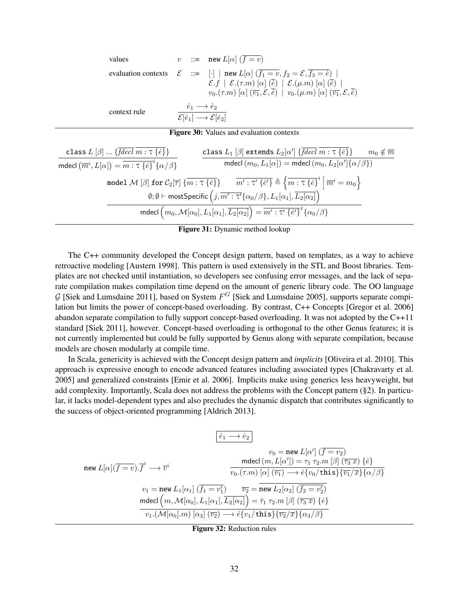values  
\n
$$
v ::= \text{new } L[\alpha] (\overline{f} = v)
$$
\n
$$
\text{evaluation contexts} \quad \mathcal{E} ::= [\cdot] \mid \text{new } L[\alpha] (\overline{f_1 = v}, f_2 = \mathcal{E}, \overline{f_3 = \dot{e}})]
$$
\n
$$
\mathcal{E}.f \mid \mathcal{E}.(\tau.m) [\alpha] (\overline{\dot{e}}) \mid \mathcal{E}.(\mu.m) [\alpha] (\overline{\dot{e}})]
$$
\n
$$
v_0.(\tau.m) [\alpha] (\overline{v_1}, \mathcal{E}, \overline{\dot{e}}) \mid v_0.(\mu.m) [\alpha] (\overline{v_1}, \mathcal{E}, \overline{\dot{e}})
$$
\n
$$
\text{context rule}
$$
\n
$$
\frac{\dot{e}_1 \longrightarrow \dot{e}_2}{\mathcal{E}[\dot{e}_1] \longrightarrow \mathcal{E}[\dot{e}_2]}
$$



| class $L[\beta] \dots \{\overline{\text{fdecl}}\, m : \tau {\hat e} \}$                                                                                                         | class $L_1 [\beta]$ extends $L_2[\alpha'] \ \{\overline{fdecl} \ \overline{m : \tau \{e\}}\}$<br>$m_0 \notin \overline{m}$ |  |  |  |  |  |
|---------------------------------------------------------------------------------------------------------------------------------------------------------------------------------|----------------------------------------------------------------------------------------------------------------------------|--|--|--|--|--|
| mdecl $(\overline{m}^i, L[\alpha]) = \overline{m : \tau \{\dot{e}\}}^i \{\alpha/\beta\}$                                                                                        | mdecl $(m_0, L_1[\alpha])$ = mdecl $(m_0, L_2[\alpha']\{\alpha/\beta\})$                                                   |  |  |  |  |  |
| model M [ $\beta$ ] for $C_2[\overline{\tau}]$ $\{\overline{m : \tau \{e\}}\}$ $\overline{m' : \tau' \{e'\}} \triangleq \{\overline{m : \tau \{e\}}^i   \overline{m}^i = m_0\}$ |                                                                                                                            |  |  |  |  |  |
| $\emptyset; \emptyset \vdash \mathsf{mostSpecific}\left(j, \overline{m': \tau'}\{\alpha_0/\beta\}, L_1[\alpha_1], \overline{L_2[\alpha_2]}\right)$                              |                                                                                                                            |  |  |  |  |  |
| mdecl $(m_0, M[\alpha_0], L_1[\alpha_1], \overline{L_2[\alpha_2]}) = \overline{m' : \tau' \{\dot{e}'\}}^j \{\alpha_0/\beta\}$                                                   |                                                                                                                            |  |  |  |  |  |

Figure 31: Dynamic method lookup

The C++ community developed the Concept design pattern, based on templates, as a way to achieve retroactive modeling [\[Austern](#page-33-5) [1998\]](#page-33-5). This pattern is used extensively in the STL and Boost libraries. Templates are not checked until instantiation, so developers see confusing error messages, and the lack of separate compilation makes compilation time depend on the amount of generic library code. The OO language G [\[Siek and Lumsdaine](#page-35-16) [2011\]](#page-35-2), based on System  $F^G$  [Siek and Lumsdaine [2005\]](#page-35-16), supports separate compilation but limits the power of concept-based overloading. By contrast, C++ Concepts [\[Gregor et al.](#page-34-13) [2006\]](#page-34-13) abandon separate compilation to fully support concept-based overloading. It was not adopted by the C++11 standard [\[Siek](#page-35-17) [2011\]](#page-35-17), however. Concept-based overloading is orthogonal to the other Genus features; it is not currently implemented but could be fully supported by Genus along with separate compilation, because models are chosen modularly at compile time.

In Scala, genericity is achieved with the Concept design pattern and *implicits* [\[Oliveira et al.](#page-35-5) [2010\]](#page-35-5). This approach is expressive enough to encode advanced features including associated types [\[Chakravarty et al.](#page-34-14) [2005\]](#page-34-14) and generalized constraints [\[Emir et al.](#page-34-4) [2006\]](#page-34-4). Implicits make using generics less heavyweight, but add complexity. Importantly, Scala does not address the problems with the Concept pattern (§2). In particular, it lacks model-dependent types and also precludes the dynamic dispatch that contributes significantly to the success of object-oriented programming [\[Aldrich](#page-33-2) [2013\]](#page-33-2).

$$
\boxed{\dot{e}_1 \longrightarrow \dot{e}_2}
$$
\n
$$
v_0 = \text{new } L[\alpha'] \ (\overline{f} = v_2)
$$
\n
$$
\text{new } L[\alpha](\overline{f} = v) \cdot \overline{f}^i \longrightarrow \overline{v}^i
$$
\n
$$
\frac{\text{mdet}(m, L[\alpha']) = \tau_1 \tau_2.m [\beta] \ (\overline{\tau_3} \ x) \ \{\dot{e}\}}{v_0.(\tau.m) [\alpha] \ (\overline{v_1}) \longrightarrow \dot{e}\{v_0/\text{this}\} \{\overline{v_1}/\overline{x}\}\{\alpha/\beta\}}
$$
\n
$$
v_1 = \text{new } L_1[\alpha_1] \ (\overline{f_1} = v_1') \qquad \overline{v_2} = \text{new } L_2[\alpha_2] \ (\overline{f_2} = v_2')
$$
\n
$$
\frac{\text{mdet}(m, M[\alpha_0], L_1[\alpha_1], \overline{L_2[\alpha_2]}) = \dot{\tau}_1 \ \tau_2.m [\beta] \ (\overline{\tau_3} \ x) \ \{\dot{e}\}}{v_1.(\mathcal{M}[\alpha_0].m) [\alpha_3] \ (\overline{v_2}) \longrightarrow \dot{e}\{v_1/\text{this}\} \{\overline{v_2}/\overline{x}\}\{\alpha_3/\beta\}
$$

Figure 32: Reduction rules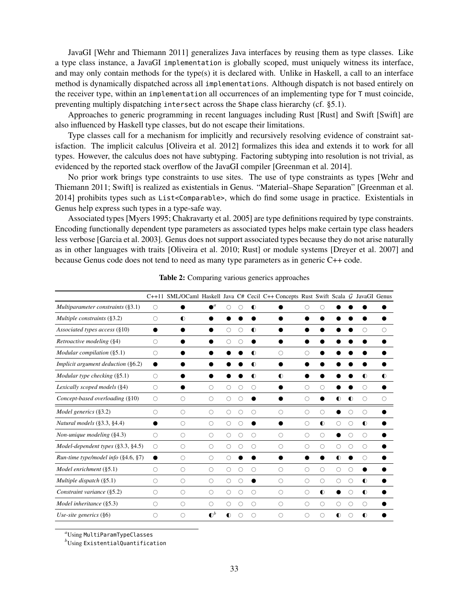JavaGI [\[Wehr and Thiemann](#page-36-0) [2011\]](#page-36-0) generalizes Java interfaces by reusing them as type classes. Like a type class instance, a JavaGI implementation is globally scoped, must uniquely witness its interface, and may only contain methods for the type(s) it is declared with. Unlike in Haskell, a call to an interface method is dynamically dispatched across all implementations. Although dispatch is not based entirely on the receiver type, within an implementation all occurrences of an implementing type for T must coincide, preventing multiply dispatching intersect across the Shape class hierarchy (cf. §5.1).

Approaches to generic programming in recent languages including Rust [\[Rust\]](#page-35-3) and Swift [\[Swift\]](#page-35-4) are also influenced by Haskell type classes, but do not escape their limitations.

Type classes call for a mechanism for implicitly and recursively resolving evidence of constraint satisfaction. The implicit calculus [\[Oliveira et al.](#page-35-18) [2012\]](#page-35-18) formalizes this idea and extends it to work for all types. However, the calculus does not have subtyping. Factoring subtyping into resolution is not trivial, as evidenced by the reported stack overflow of the JavaGI compiler [\[Greenman et al.](#page-34-7) [2014\]](#page-34-7).

No prior work brings type constraints to use sites. The use of type constraints as types [\[Wehr and](#page-36-0) [Thiemann](#page-36-0) [2011;](#page-36-0) [Swift\]](#page-35-4) is realized as existentials in Genus. "Material–Shape Separation" [\[Greenman et al.](#page-34-7) [2014\]](#page-34-7) prohibits types such as List<Comparable>, which do find some usage in practice. Existentials in Genus help express such types in a type-safe way.

Associated types [\[Myers](#page-35-7) [1995;](#page-35-7) [Chakravarty et al.](#page-34-14) [2005\]](#page-34-14) are type definitions required by type constraints. Encoding functionally dependent type parameters as associated types helps make certain type class headers less verbose [\[Garcia et al.](#page-34-15) [2003\]](#page-34-15). Genus does not support associated types because they do not arise naturally as in other languages with traits [\[Oliveira et al.](#page-35-5) [2010;](#page-35-5) [Rust\]](#page-35-3) or module systems [\[Dreyer et al.](#page-34-16) [2007\]](#page-34-16) and because Genus code does not tend to need as many type parameters as in generic C++ code.

<span id="page-32-2"></span>

|                                     |            |            |                |                 |                 |            | C++11 SML/OCaml Haskell Java C# Cecil C++ Concepts Rust Swift Scala G JavaGI Genus |            |            |            |            |            |            |
|-------------------------------------|------------|------------|----------------|-----------------|-----------------|------------|------------------------------------------------------------------------------------|------------|------------|------------|------------|------------|------------|
| Multiparameter constraints (§3.1)   | $\circ$    |            | $\bullet^a$    | ∩               | ∩               | $\bullet$  |                                                                                    | ∩          | ∩          |            |            |            |            |
| Multiple constraints $(\S3.2)$      | O          | $\bullet$  |                |                 |                 |            |                                                                                    |            |            |            |            |            |            |
| Associated types access (§10)       |            |            |                | $\circ$         | $\circ$         | $\bullet$  |                                                                                    |            |            |            |            | $\bigcirc$ | $\bigcirc$ |
| Retroactive modeling (§4)           | 0          |            |                | ⊖               |                 |            |                                                                                    |            |            |            |            |            |            |
| Modular compilation (§5.1)          | $\circ$    |            |                |                 |                 | $\bullet$  | $\bigcirc$                                                                         | ∩          |            |            |            |            |            |
| Implicit argument deduction (§6.2)  |            |            |                |                 |                 | $\bullet$  |                                                                                    |            |            |            |            |            |            |
| Modular type checking $(\S 5.1)$    | O          |            |                |                 |                 | $\bullet$  | $\bullet$                                                                          |            |            |            |            | $\bullet$  | $\bullet$  |
| Lexically scoped models (§4)        | $\bigcirc$ |            | $\bigcirc$     | $\bigcirc$      | $\bigcirc$      | $\bigcirc$ |                                                                                    | ∩          | $\bigcirc$ |            |            | $\bigcirc$ |            |
| Concept-based overloading (§10)     | $\bigcirc$ | ∩          | $\bigcirc$     | $\bigcirc$      | $\circ$         |            |                                                                                    | $\bigcirc$ |            | $\bullet$  | $\bullet$  | $\bigcirc$ | $\bigcirc$ |
| Model generics (§3.2)               | $\bigcirc$ | $\bigcirc$ | $\bigcirc$     | $\bigcirc$      | $\bigcirc$      | $\bigcirc$ | $\bigcirc$                                                                         | $\bigcirc$ | $\bigcirc$ | ●          | $\bigcirc$ | $\bigcirc$ |            |
| Natural models (§3.3, §4.4)         |            | Ω          | 0              | $\bigcirc$      | $\bigcirc$      |            |                                                                                    | 0          | $\bullet$  | $\circ$    | $\bigcirc$ | $\bullet$  |            |
| Non-unique modeling (§4.3)          | $\bigcirc$ | Ω          | 0              | $\bigcirc$      | $\bigcirc$      | $\bigcirc$ | $\bigcirc$                                                                         | 0          | $\bigcirc$ |            | ∩          | $\bigcirc$ |            |
| Model-dependent types (§3.3, §4.5)  | $\bigcirc$ | $\bigcirc$ | $\bigcirc$     | $\bigcirc$      | $\bigcirc$      | $\bigcirc$ | $\bigcirc$                                                                         | ∩          | $\bigcirc$ | $\bigcirc$ | $\bigcap$  | $\bigcirc$ |            |
| Run-time type/model info (§4.6, §7) |            | $\bigcirc$ | Ω              | $\left(\right)$ |                 |            |                                                                                    |            |            | ∩          |            | $\bigcirc$ |            |
| Model enrichment (§5.1)             | 0          | Ω          | $\bigcirc$     | $\bigcirc$      | $\bigcirc$      | $\bigcirc$ | $\bigcirc$                                                                         | 0          | $\bigcirc$ | 0          | $\bigcirc$ | ●          |            |
| Multiple dispatch $(\S 5.1)$        | $\bigcirc$ | Ω          | ∩              | $\bigcirc$      | $\bigcirc$      |            | $\bigcirc$                                                                         | ∩          | $\bigcirc$ | $\bigcirc$ | $\bigcirc$ | $\bullet$  |            |
| Constraint variance (§5.2)          | O          | $\circ$    | $\circ$        | $\circ$         | $\circ$         | $\circ$    | $\circ$                                                                            | $\circ$    | $\bullet$  | ●          | $\bigcirc$ | $\bullet$  |            |
| Model inheritance (§5.3)            | $\bigcirc$ | $\bigcirc$ | 0              | $\circ$         | $\circ$         | $\bigcirc$ | $\bigcirc$                                                                         | $\bigcirc$ | $\circ$    | $\bigcirc$ | $\bigcirc$ | $\bigcirc$ |            |
| Use-site generics $(\S6)$           | 0          | ∩          | $\mathbf{O}^b$ | $\bullet$       | $\left(\right)$ | ∩          | ∩                                                                                  | ∩          | ∩          | ∩          |            | $\bullet$  |            |

Table 2: Comparing various generics approaches

<span id="page-32-0"></span>*<sup>a</sup>*Using MultiParamTypeClasses

<span id="page-32-1"></span>*<sup>b</sup>*Using ExistentialQuantification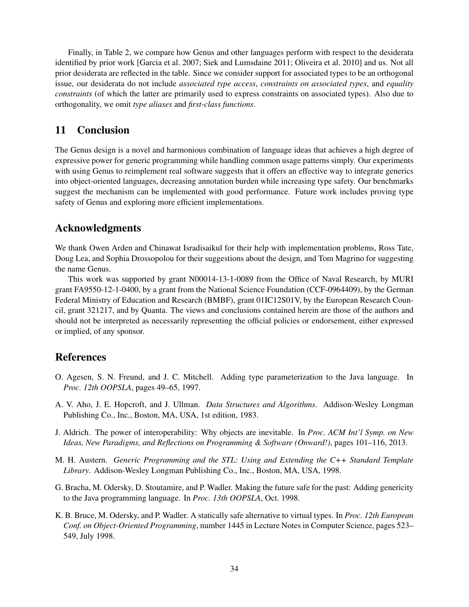Finally, in Table [2,](#page-32-2) we compare how Genus and other languages perform with respect to the desiderata identified by prior work [\[Garcia et al.](#page-34-17) [2007;](#page-34-17) [Siek and Lumsdaine](#page-35-2) [2011;](#page-35-2) [Oliveira et al.](#page-35-5) [2010\]](#page-35-5) and us. Not all prior desiderata are reflected in the table. Since we consider support for associated types to be an orthogonal issue, our desiderata do not include *associated type access*, *constraints on associated types*, and *equality constraints* (of which the latter are primarily used to express constraints on associated types). Also due to orthogonality, we omit *type aliases* and *first-class functions*.

## 11 Conclusion

The Genus design is a novel and harmonious combination of language ideas that achieves a high degree of expressive power for generic programming while handling common usage patterns simply. Our experiments with using Genus to reimplement real software suggests that it offers an effective way to integrate generics into object-oriented languages, decreasing annotation burden while increasing type safety. Our benchmarks suggest the mechanism can be implemented with good performance. Future work includes proving type safety of Genus and exploring more efficient implementations.

# Acknowledgments

We thank Owen Arden and Chinawat Isradisaikul for their help with implementation problems, Ross Tate, Doug Lea, and Sophia Drossopolou for their suggestions about the design, and Tom Magrino for suggesting the name Genus.

This work was supported by grant N00014-13-1-0089 from the Office of Naval Research, by MURI grant FA9550-12-1-0400, by a grant from the National Science Foundation (CCF-0964409), by the German Federal Ministry of Education and Research (BMBF), grant 01IC12S01V, by the European Research Council, grant 321217, and by Quanta. The views and conclusions contained herein are those of the authors and should not be interpreted as necessarily representing the official policies or endorsement, either expressed or implied, of any sponsor.

# References

- <span id="page-33-4"></span>O. Agesen, S. N. Freund, and J. C. Mitchell. Adding type parameterization to the Java language. In *Proc. 12th OOPSLA*, pages 49–65, 1997.
- <span id="page-33-1"></span>A. V. Aho, J. E. Hopcroft, and J. Ullman. *Data Structures and Algorithms*. Addison-Wesley Longman Publishing Co., Inc., Boston, MA, USA, 1st edition, 1983.
- <span id="page-33-2"></span>J. Aldrich. The power of interoperability: Why objects are inevitable. In *Proc. ACM Int'l Symp. on New Ideas, New Paradigms, and Reflections on Programming & Software (Onward!)*, pages 101–116, 2013.
- <span id="page-33-5"></span>M. H. Austern. *Generic Programming and the STL: Using and Extending the C++ Standard Template Library*. Addison-Wesley Longman Publishing Co., Inc., Boston, MA, USA, 1998.
- <span id="page-33-0"></span>G. Bracha, M. Odersky, D. Stoutamire, and P. Wadler. Making the future safe for the past: Adding genericity to the Java programming language. In *Proc. 13th OOPSLA*, Oct. 1998.
- <span id="page-33-3"></span>K. B. Bruce, M. Odersky, and P. Wadler. A statically safe alternative to virtual types. In *Proc. 12th European Conf. on Object-Oriented Programming*, number 1445 in Lecture Notes in Computer Science, pages 523– 549, July 1998.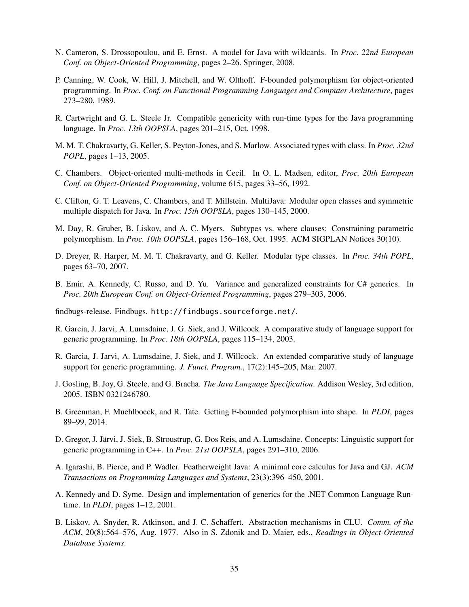- <span id="page-34-11"></span>N. Cameron, S. Drossopoulou, and E. Ernst. A model for Java with wildcards. In *Proc. 22nd European Conf. on Object-Oriented Programming*, pages 2–26. Springer, 2008.
- <span id="page-34-5"></span>P. Canning, W. Cook, W. Hill, J. Mitchell, and W. Olthoff. F-bounded polymorphism for object-oriented programming. In *Proc. Conf. on Functional Programming Languages and Computer Architecture*, pages 273–280, 1989.
- <span id="page-34-12"></span>R. Cartwright and G. L. Steele Jr. Compatible genericity with run-time types for the Java programming language. In *Proc. 13th OOPSLA*, pages 201–215, Oct. 1998.
- <span id="page-34-14"></span>M. M. T. Chakravarty, G. Keller, S. Peyton-Jones, and S. Marlow. Associated types with class. In *Proc. 32nd POPL*, pages 1–13, 2005.
- <span id="page-34-2"></span>C. Chambers. Object-oriented multi-methods in Cecil. In O. L. Madsen, editor, *Proc. 20th European Conf. on Object-Oriented Programming*, volume 615, pages 33–56, 1992.
- <span id="page-34-8"></span>C. Clifton, G. T. Leavens, C. Chambers, and T. Millstein. MultiJava: Modular open classes and symmetric multiple dispatch for Java. In *Proc. 15th OOPSLA*, pages 130–145, 2000.
- <span id="page-34-1"></span>M. Day, R. Gruber, B. Liskov, and A. C. Myers. Subtypes vs. where clauses: Constraining parametric polymorphism. In *Proc. 10th OOPSLA*, pages 156–168, Oct. 1995. ACM SIGPLAN Notices 30(10).
- <span id="page-34-16"></span>D. Dreyer, R. Harper, M. M. T. Chakravarty, and G. Keller. Modular type classes. In *Proc. 34th POPL*, pages 63–70, 2007.
- <span id="page-34-4"></span>B. Emir, A. Kennedy, C. Russo, and D. Yu. Variance and generalized constraints for C# generics. In *Proc. 20th European Conf. on Object-Oriented Programming*, pages 279–303, 2006.
- <span id="page-34-6"></span>findbugs-release. Findbugs. <http://findbugs.sourceforge.net/>.
- <span id="page-34-15"></span>R. Garcia, J. Jarvi, A. Lumsdaine, J. G. Siek, and J. Willcock. A comparative study of language support for generic programming. In *Proc. 18th OOPSLA*, pages 115–134, 2003.
- <span id="page-34-17"></span>R. Garcia, J. Jarvi, A. Lumsdaine, J. Siek, and J. Willcock. An extended comparative study of language support for generic programming. *J. Funct. Program.*, 17(2):145–205, Mar. 2007.
- <span id="page-34-9"></span>J. Gosling, B. Joy, G. Steele, and G. Bracha. *The Java Language Specification*. Addison Wesley, 3rd edition, 2005. ISBN 0321246780.
- <span id="page-34-7"></span>B. Greenman, F. Muehlboeck, and R. Tate. Getting F-bounded polymorphism into shape. In *PLDI*, pages 89–99, 2014.
- <span id="page-34-13"></span>D. Gregor, J. Järvi, J. Siek, B. Stroustrup, G. Dos Reis, and A. Lumsdaine. Concepts: Linguistic support for generic programming in C++. In *Proc. 21st OOPSLA*, pages 291–310, 2006.
- <span id="page-34-10"></span>A. Igarashi, B. Pierce, and P. Wadler. Featherweight Java: A minimal core calculus for Java and GJ. *ACM Transactions on Programming Languages and Systems*, 23(3):396–450, 2001.
- <span id="page-34-3"></span>A. Kennedy and D. Syme. Design and implementation of generics for the .NET Common Language Runtime. In *PLDI*, pages 1–12, 2001.
- <span id="page-34-0"></span>B. Liskov, A. Snyder, R. Atkinson, and J. C. Schaffert. Abstraction mechanisms in CLU. *Comm. of the ACM*, 20(8):564–576, Aug. 1977. Also in S. Zdonik and D. Maier, eds., *Readings in Object-Oriented Database Systems*.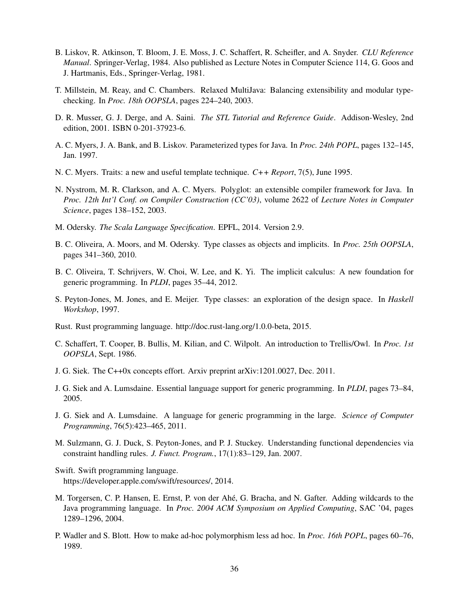- <span id="page-35-0"></span>B. Liskov, R. Atkinson, T. Bloom, J. E. Moss, J. C. Schaffert, R. Scheifler, and A. Snyder. *CLU Reference Manual*. Springer-Verlag, 1984. Also published as Lecture Notes in Computer Science 114, G. Goos and J. Hartmanis, Eds., Springer-Verlag, 1981.
- <span id="page-35-11"></span>T. Millstein, M. Reay, and C. Chambers. Relaxed MultiJava: Balancing extensibility and modular typechecking. In *Proc. 18th OOPSLA*, pages 224–240, 2003.
- <span id="page-35-8"></span>D. R. Musser, G. J. Derge, and A. Saini. *The STL Tutorial and Reference Guide*. Addison-Wesley, 2nd edition, 2001. ISBN 0-201-37923-6.
- <span id="page-35-6"></span>A. C. Myers, J. A. Bank, and B. Liskov. Parameterized types for Java. In *Proc. 24th POPL*, pages 132–145, Jan. 1997.
- <span id="page-35-7"></span>N. C. Myers. Traits: a new and useful template technique. *C++ Report*, 7(5), June 1995.
- <span id="page-35-13"></span>N. Nystrom, M. R. Clarkson, and A. C. Myers. Polyglot: an extensible compiler framework for Java. In *Proc. 12th Int'l Conf. on Compiler Construction (CC'03)*, volume 2622 of *Lecture Notes in Computer Science*, pages 138–152, 2003.
- <span id="page-35-10"></span>M. Odersky. *The Scala Language Specification*. EPFL, 2014. Version 2.9.
- <span id="page-35-5"></span>B. C. Oliveira, A. Moors, and M. Odersky. Type classes as objects and implicits. In *Proc. 25th OOPSLA*, pages 341–360, 2010.
- <span id="page-35-18"></span>B. C. Oliveira, T. Schrijvers, W. Choi, W. Lee, and K. Yi. The implicit calculus: A new foundation for generic programming. In *PLDI*, pages 35–44, 2012.
- <span id="page-35-9"></span>S. Peyton-Jones, M. Jones, and E. Meijer. Type classes: an exploration of the design space. In *Haskell Workshop*, 1997.
- <span id="page-35-3"></span>Rust. Rust programming language. http://doc.rust-lang.org/1.0.0-beta, 2015.
- <span id="page-35-15"></span>C. Schaffert, T. Cooper, B. Bullis, M. Kilian, and C. Wilpolt. An introduction to Trellis/Owl. In *Proc. 1st OOPSLA*, Sept. 1986.
- <span id="page-35-17"></span>J. G. Siek. The C++0x concepts effort. Arxiv preprint arXiv:1201.0027, Dec. 2011.
- <span id="page-35-16"></span>J. G. Siek and A. Lumsdaine. Essential language support for generic programming. In *PLDI*, pages 73–84, 2005.
- <span id="page-35-2"></span>J. G. Siek and A. Lumsdaine. A language for generic programming in the large. *Science of Computer Programming*, 76(5):423–465, 2011.
- <span id="page-35-14"></span>M. Sulzmann, G. J. Duck, S. Peyton-Jones, and P. J. Stuckey. Understanding functional dependencies via constraint handling rules. *J. Funct. Program.*, 17(1):83–129, Jan. 2007.
- <span id="page-35-4"></span>Swift. Swift programming language. https://developer.apple.com/swift/resources/, 2014.
- <span id="page-35-12"></span>M. Torgersen, C. P. Hansen, E. Ernst, P. von der Ahé, G. Bracha, and N. Gafter. Adding wildcards to the Java programming language. In *Proc. 2004 ACM Symposium on Applied Computing*, SAC '04, pages 1289–1296, 2004.
- <span id="page-35-1"></span>P. Wadler and S. Blott. How to make ad-hoc polymorphism less ad hoc. In *Proc. 16th POPL*, pages 60–76, 1989.